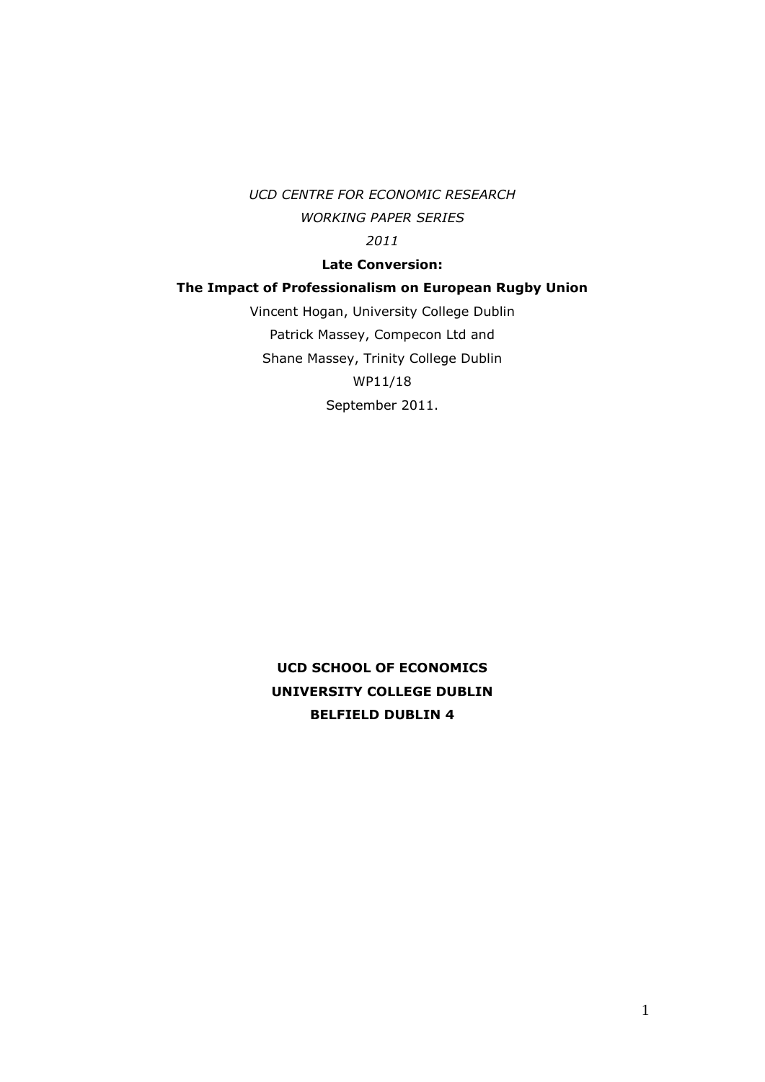*UCD CENTRE FOR ECONOMIC RESEARCH WORKING PAPER SERIES 2011*

## **Late Conversion:**

## **The Impact of Professionalism on European Rugby Union**

Vincent Hogan, University College Dublin Patrick Massey, Compecon Ltd and Shane Massey, Trinity College Dublin WP11/18 September 2011.

**UCD SCHOOL OF ECONOMICS UNIVERSITY COLLEGE DUBLIN BELFIELD DUBLIN 4**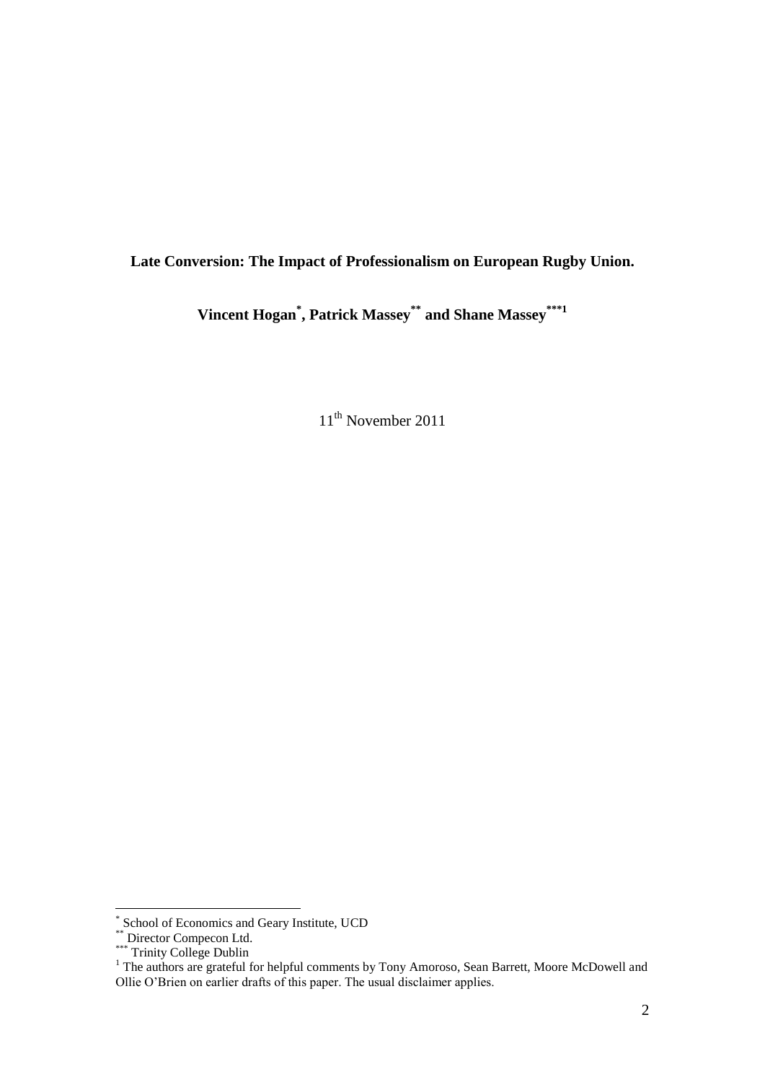# **Late Conversion: The Impact of Professionalism on European Rugby Union.**

**Vincent Hogan \* , Patrick Massey \*\* and Shane Massey \*\*\*1**

11<sup>th</sup> November 2011

 \* School of Economics and Geary Institute, UCD

<sup>\*\*</sup> Director Compecon Ltd.

<sup>\*\*\*</sup> Trinity College Dublin

<sup>&</sup>lt;sup>1</sup> The authors are grateful for helpful comments by Tony Amoroso, Sean Barrett, Moore McDowell and Ollie O"Brien on earlier drafts of this paper. The usual disclaimer applies.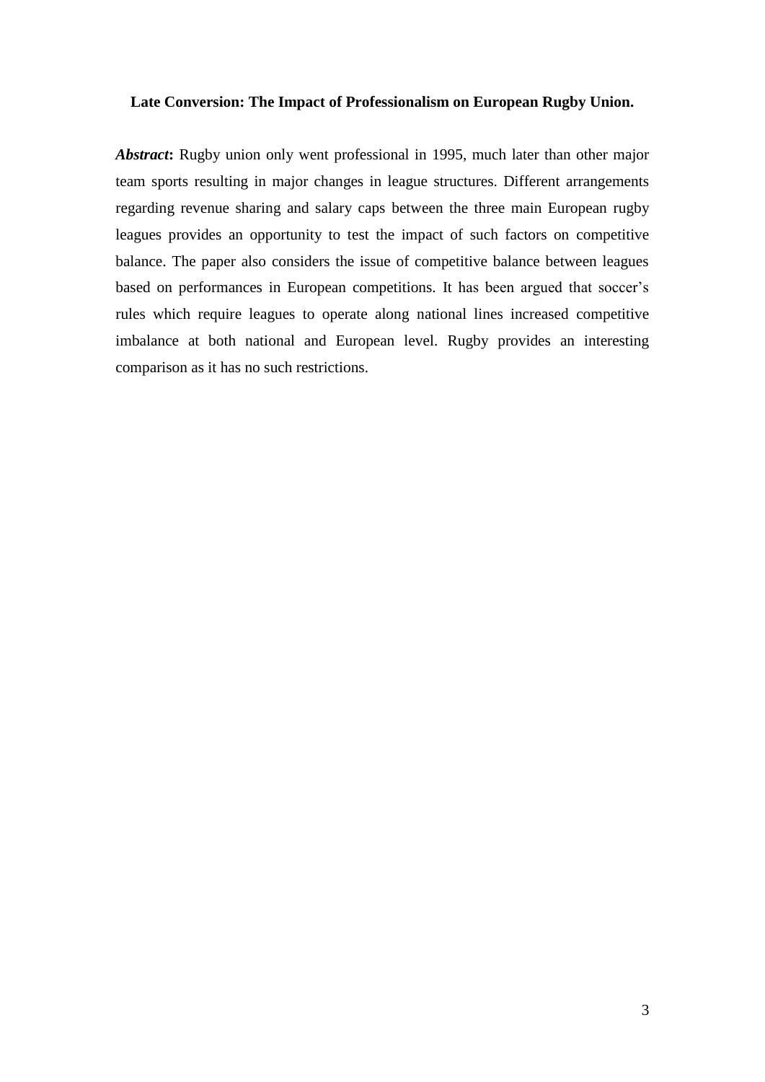# **Late Conversion: The Impact of Professionalism on European Rugby Union.**

*Abstract***:** Rugby union only went professional in 1995, much later than other major team sports resulting in major changes in league structures. Different arrangements regarding revenue sharing and salary caps between the three main European rugby leagues provides an opportunity to test the impact of such factors on competitive balance. The paper also considers the issue of competitive balance between leagues based on performances in European competitions. It has been argued that soccer's rules which require leagues to operate along national lines increased competitive imbalance at both national and European level. Rugby provides an interesting comparison as it has no such restrictions.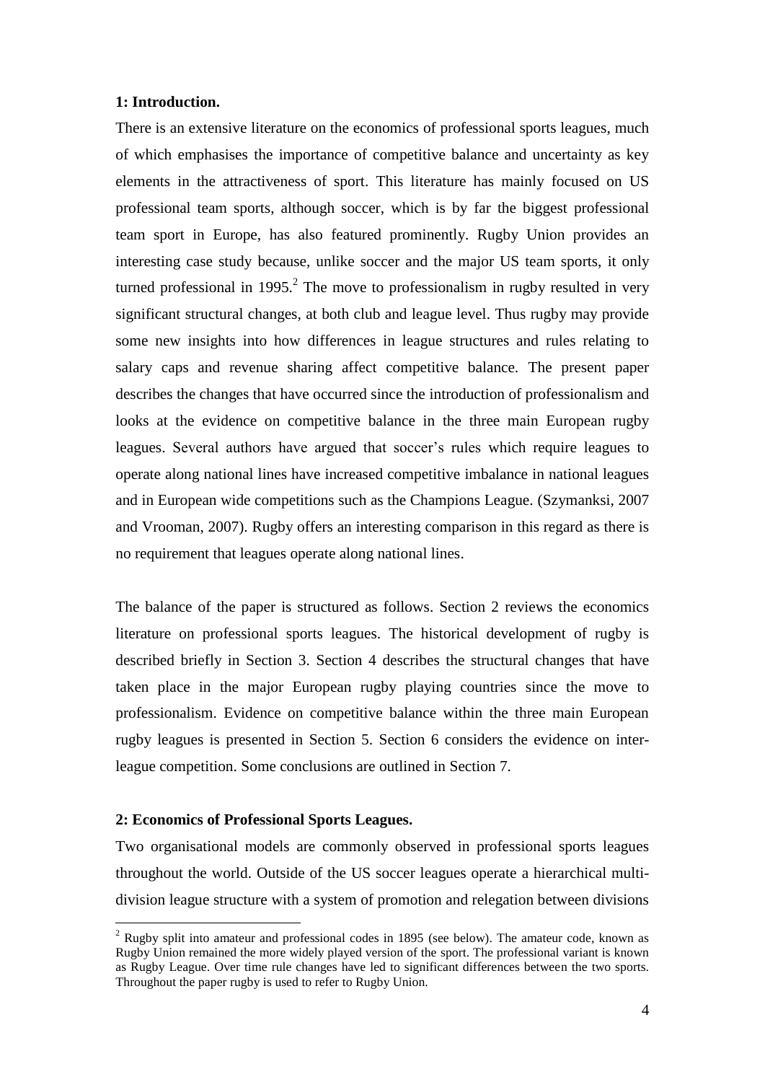#### **1: Introduction.**

There is an extensive literature on the economics of professional sports leagues, much of which emphasises the importance of competitive balance and uncertainty as key elements in the attractiveness of sport. This literature has mainly focused on US professional team sports, although soccer, which is by far the biggest professional team sport in Europe, has also featured prominently. Rugby Union provides an interesting case study because, unlike soccer and the major US team sports, it only turned professional in 1995.<sup>2</sup> The move to professionalism in rugby resulted in very significant structural changes, at both club and league level. Thus rugby may provide some new insights into how differences in league structures and rules relating to salary caps and revenue sharing affect competitive balance. The present paper describes the changes that have occurred since the introduction of professionalism and looks at the evidence on competitive balance in the three main European rugby leagues. Several authors have argued that soccer"s rules which require leagues to operate along national lines have increased competitive imbalance in national leagues and in European wide competitions such as the Champions League. (Szymanksi, 2007 and Vrooman, 2007). Rugby offers an interesting comparison in this regard as there is no requirement that leagues operate along national lines.

The balance of the paper is structured as follows. Section 2 reviews the economics literature on professional sports leagues. The historical development of rugby is described briefly in Section 3. Section 4 describes the structural changes that have taken place in the major European rugby playing countries since the move to professionalism. Evidence on competitive balance within the three main European rugby leagues is presented in Section 5. Section 6 considers the evidence on interleague competition. Some conclusions are outlined in Section 7.

#### **2: Economics of Professional Sports Leagues.**

1

Two organisational models are commonly observed in professional sports leagues throughout the world. Outside of the US soccer leagues operate a hierarchical multidivision league structure with a system of promotion and relegation between divisions

 $2$  Rugby split into amateur and professional codes in 1895 (see below). The amateur code, known as Rugby Union remained the more widely played version of the sport. The professional variant is known as Rugby League. Over time rule changes have led to significant differences between the two sports. Throughout the paper rugby is used to refer to Rugby Union.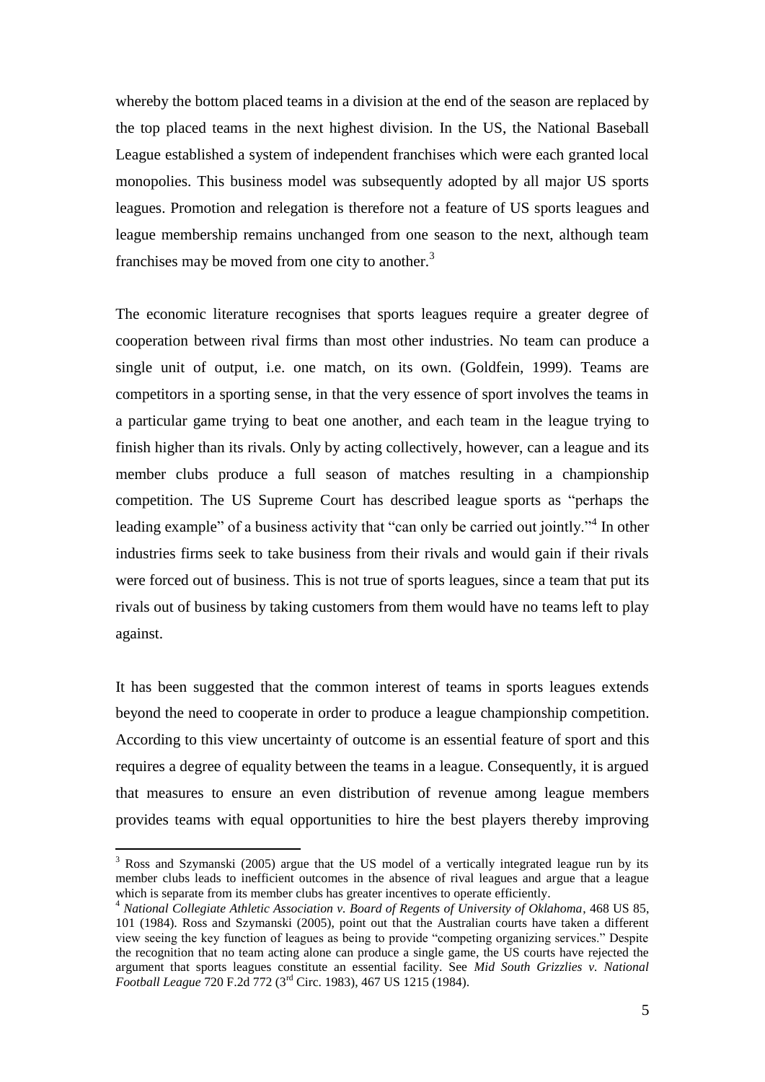whereby the bottom placed teams in a division at the end of the season are replaced by the top placed teams in the next highest division. In the US, the National Baseball League established a system of independent franchises which were each granted local monopolies. This business model was subsequently adopted by all major US sports leagues. Promotion and relegation is therefore not a feature of US sports leagues and league membership remains unchanged from one season to the next, although team franchises may be moved from one city to another.<sup>3</sup>

The economic literature recognises that sports leagues require a greater degree of cooperation between rival firms than most other industries. No team can produce a single unit of output, i.e. one match, on its own. (Goldfein, 1999). Teams are competitors in a sporting sense, in that the very essence of sport involves the teams in a particular game trying to beat one another, and each team in the league trying to finish higher than its rivals. Only by acting collectively, however, can a league and its member clubs produce a full season of matches resulting in a championship competition. The US Supreme Court has described league sports as "perhaps the leading example" of a business activity that "can only be carried out jointly."<sup>4</sup> In other industries firms seek to take business from their rivals and would gain if their rivals were forced out of business. This is not true of sports leagues, since a team that put its rivals out of business by taking customers from them would have no teams left to play against.

It has been suggested that the common interest of teams in sports leagues extends beyond the need to cooperate in order to produce a league championship competition. According to this view uncertainty of outcome is an essential feature of sport and this requires a degree of equality between the teams in a league. Consequently, it is argued that measures to ensure an even distribution of revenue among league members provides teams with equal opportunities to hire the best players thereby improving

<u>.</u>

<sup>&</sup>lt;sup>3</sup> Ross and Szymanski (2005) argue that the US model of a vertically integrated league run by its member clubs leads to inefficient outcomes in the absence of rival leagues and argue that a league which is separate from its member clubs has greater incentives to operate efficiently.

<sup>4</sup> *National Collegiate Athletic Association v. Board of Regents of University of Oklahoma*, 468 US 85, 101 (1984). Ross and Szymanski (2005), point out that the Australian courts have taken a different view seeing the key function of leagues as being to provide "competing organizing services." Despite the recognition that no team acting alone can produce a single game, the US courts have rejected the argument that sports leagues constitute an essential facility. See *Mid South Grizzlies v. National Football League* 720 F.2d 772 (3rd Circ. 1983), 467 US 1215 (1984).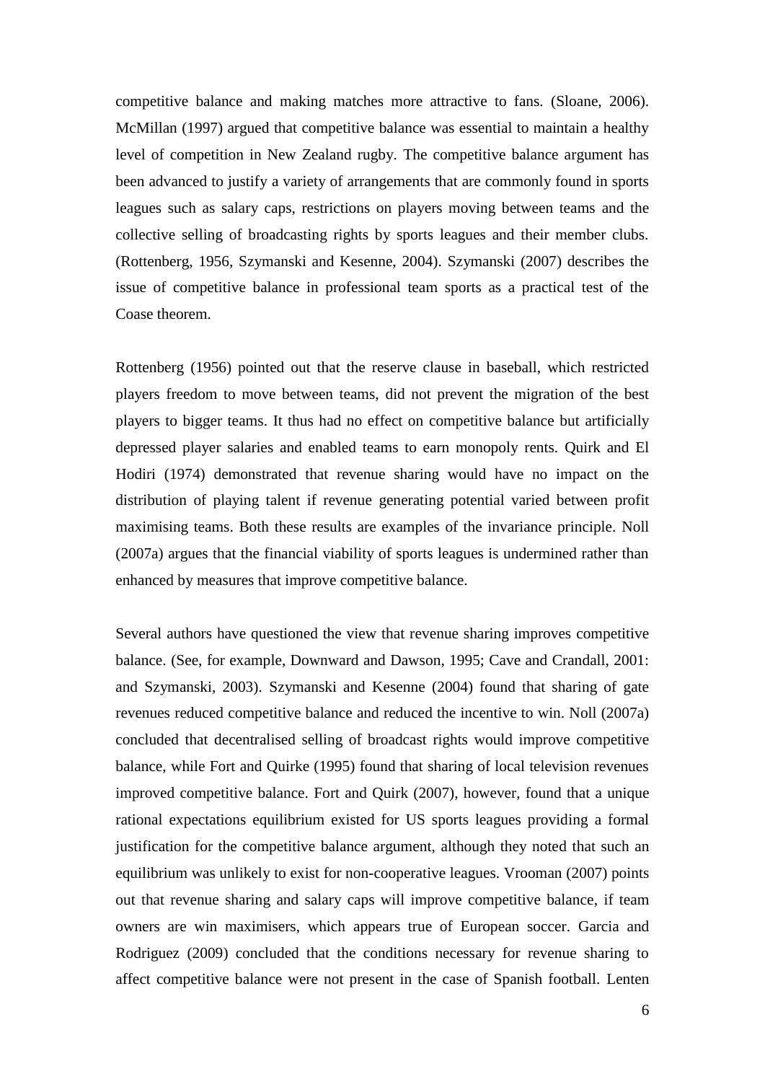competitive balance and making matches more attractive to fans. (Sloane, 2006). McMillan (1997) argued that competitive balance was essential to maintain a healthy level of competition in New Zealand rugby. The competitive balance argument has been advanced to justify a variety of arrangements that are commonly found in sports leagues such as salary caps, restrictions on players moving between teams and the collective selling of broadcasting rights by sports leagues and their member clubs. (Rottenberg, 1956, Szymanski and Kesenne, 2004). Szymanski (2007) describes the issue of competitive balance in professional team sports as a practical test of the Coase theorem.

Rottenberg (1956) pointed out that the reserve clause in baseball, which restricted players freedom to move between teams, did not prevent the migration of the best players to bigger teams. It thus had no effect on competitive balance but artificially depressed player salaries and enabled teams to earn monopoly rents. Quirk and El Hodiri (1974) demonstrated that revenue sharing would have no impact on the distribution of playing talent if revenue generating potential varied between profit maximising teams. Both these results are examples of the invariance principle. Noll (2007a) argues that the financial viability of sports leagues is undermined rather than enhanced by measures that improve competitive balance.

Several authors have questioned the view that revenue sharing improves competitive balance. (See, for example, Downward and Dawson, 1995; Cave and Crandall, 2001: and Szymanski, 2003). Szymanski and Kesenne (2004) found that sharing of gate revenues reduced competitive balance and reduced the incentive to win. Noll (2007a) concluded that decentralised selling of broadcast rights would improve competitive balance, while Fort and Quirke (1995) found that sharing of local television revenues improved competitive balance. Fort and Quirk (2007), however, found that a unique rational expectations equilibrium existed for US sports leagues providing a formal justification for the competitive balance argument, although they noted that such an equilibrium was unlikely to exist for non-cooperative leagues. Vrooman (2007) points out that revenue sharing and salary caps will improve competitive balance, if team owners are win maximisers, which appears true of European soccer. Garcia and Rodriguez (2009) concluded that the conditions necessary for revenue sharing to affect competitive balance were not present in the case of Spanish football. Lenten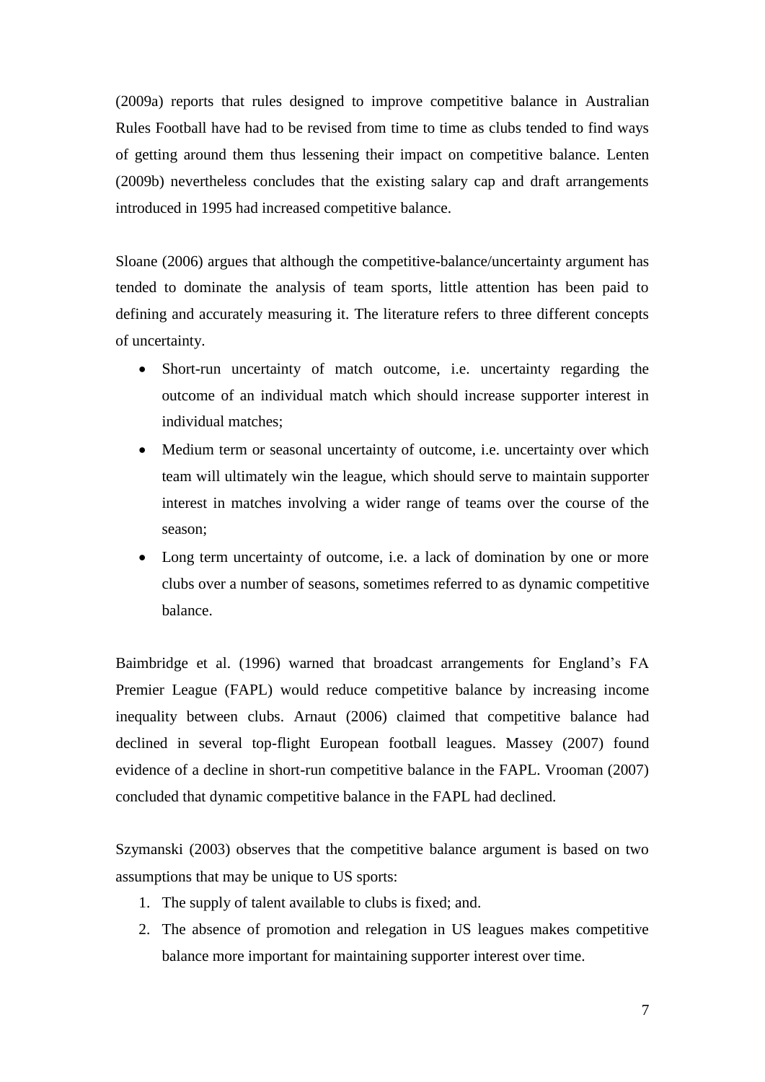(2009a) reports that rules designed to improve competitive balance in Australian Rules Football have had to be revised from time to time as clubs tended to find ways of getting around them thus lessening their impact on competitive balance. Lenten (2009b) nevertheless concludes that the existing salary cap and draft arrangements introduced in 1995 had increased competitive balance.

Sloane (2006) argues that although the competitive-balance/uncertainty argument has tended to dominate the analysis of team sports, little attention has been paid to defining and accurately measuring it. The literature refers to three different concepts of uncertainty.

- Short-run uncertainty of match outcome, i.e. uncertainty regarding the outcome of an individual match which should increase supporter interest in individual matches;
- Medium term or seasonal uncertainty of outcome, i.e. uncertainty over which team will ultimately win the league, which should serve to maintain supporter interest in matches involving a wider range of teams over the course of the season;
- Long term uncertainty of outcome, i.e. a lack of domination by one or more clubs over a number of seasons, sometimes referred to as dynamic competitive balance.

Baimbridge et al. (1996) warned that broadcast arrangements for England's FA Premier League (FAPL) would reduce competitive balance by increasing income inequality between clubs. Arnaut (2006) claimed that competitive balance had declined in several top-flight European football leagues. Massey (2007) found evidence of a decline in short-run competitive balance in the FAPL. Vrooman (2007) concluded that dynamic competitive balance in the FAPL had declined.

Szymanski (2003) observes that the competitive balance argument is based on two assumptions that may be unique to US sports:

- 1. The supply of talent available to clubs is fixed; and.
- 2. The absence of promotion and relegation in US leagues makes competitive balance more important for maintaining supporter interest over time.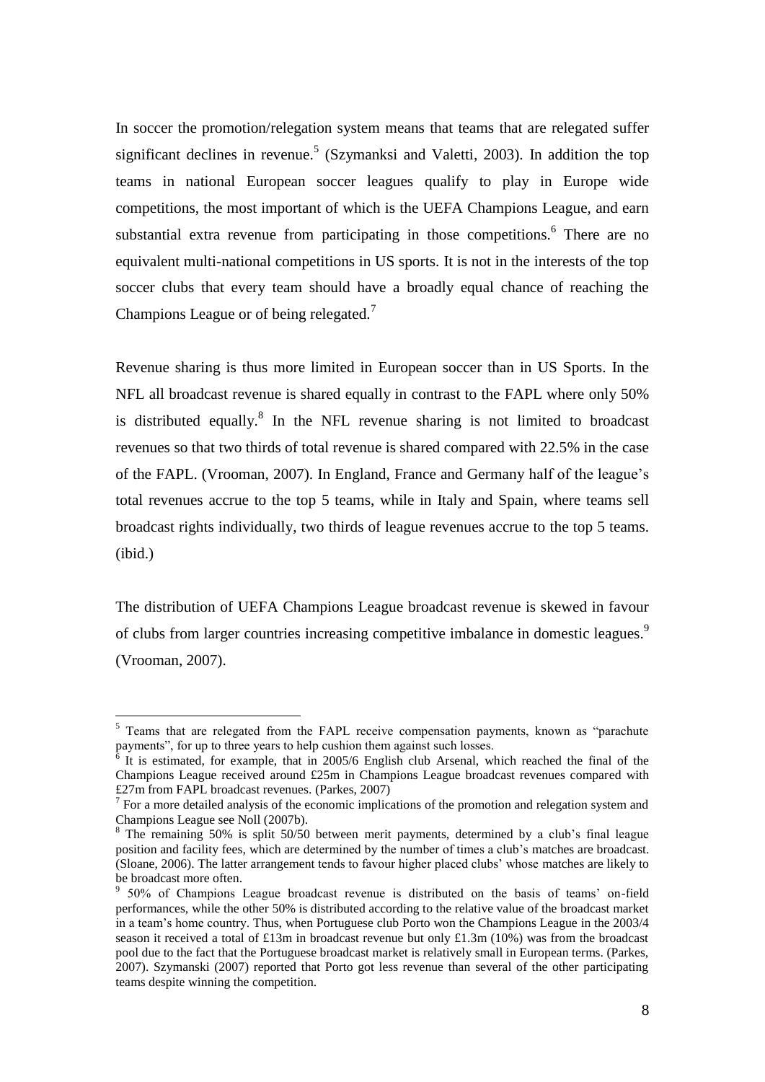In soccer the promotion/relegation system means that teams that are relegated suffer significant declines in revenue.<sup>5</sup> (Szymanksi and Valetti, 2003). In addition the top teams in national European soccer leagues qualify to play in Europe wide competitions, the most important of which is the UEFA Champions League, and earn substantial extra revenue from participating in those competitions.<sup>6</sup> There are no equivalent multi-national competitions in US sports. It is not in the interests of the top soccer clubs that every team should have a broadly equal chance of reaching the Champions League or of being relegated.<sup>7</sup>

Revenue sharing is thus more limited in European soccer than in US Sports. In the NFL all broadcast revenue is shared equally in contrast to the FAPL where only 50% is distributed equally.<sup>8</sup> In the NFL revenue sharing is not limited to broadcast revenues so that two thirds of total revenue is shared compared with 22.5% in the case of the FAPL. (Vrooman, 2007). In England, France and Germany half of the league"s total revenues accrue to the top 5 teams, while in Italy and Spain, where teams sell broadcast rights individually, two thirds of league revenues accrue to the top 5 teams. (ibid.)

The distribution of UEFA Champions League broadcast revenue is skewed in favour of clubs from larger countries increasing competitive imbalance in domestic leagues.<sup>9</sup> (Vrooman, 2007).

<u>.</u>

<sup>&</sup>lt;sup>5</sup> Teams that are relegated from the FAPL receive compensation payments, known as "parachute" payments", for up to three years to help cushion them against such losses.

 $6$  It is estimated, for example, that in 2005/6 English club Arsenal, which reached the final of the Champions League received around £25m in Champions League broadcast revenues compared with £27m from FAPL broadcast revenues. (Parkes, 2007)

 $<sup>7</sup>$  For a more detailed analysis of the economic implications of the promotion and relegation system and</sup> Champions League see Noll (2007b).

<sup>&</sup>lt;sup>8</sup> The remaining 50% is split 50/50 between merit payments, determined by a club's final league position and facility fees, which are determined by the number of times a club"s matches are broadcast. (Sloane, 2006). The latter arrangement tends to favour higher placed clubs" whose matches are likely to be broadcast more often.

<sup>&</sup>lt;sup>9</sup> 50% of Champions League broadcast revenue is distributed on the basis of teams' on-field performances, while the other 50% is distributed according to the relative value of the broadcast market in a team"s home country. Thus, when Portuguese club Porto won the Champions League in the 2003/4 season it received a total of £13m in broadcast revenue but only £1.3m (10%) was from the broadcast pool due to the fact that the Portuguese broadcast market is relatively small in European terms. (Parkes, 2007). Szymanski (2007) reported that Porto got less revenue than several of the other participating teams despite winning the competition.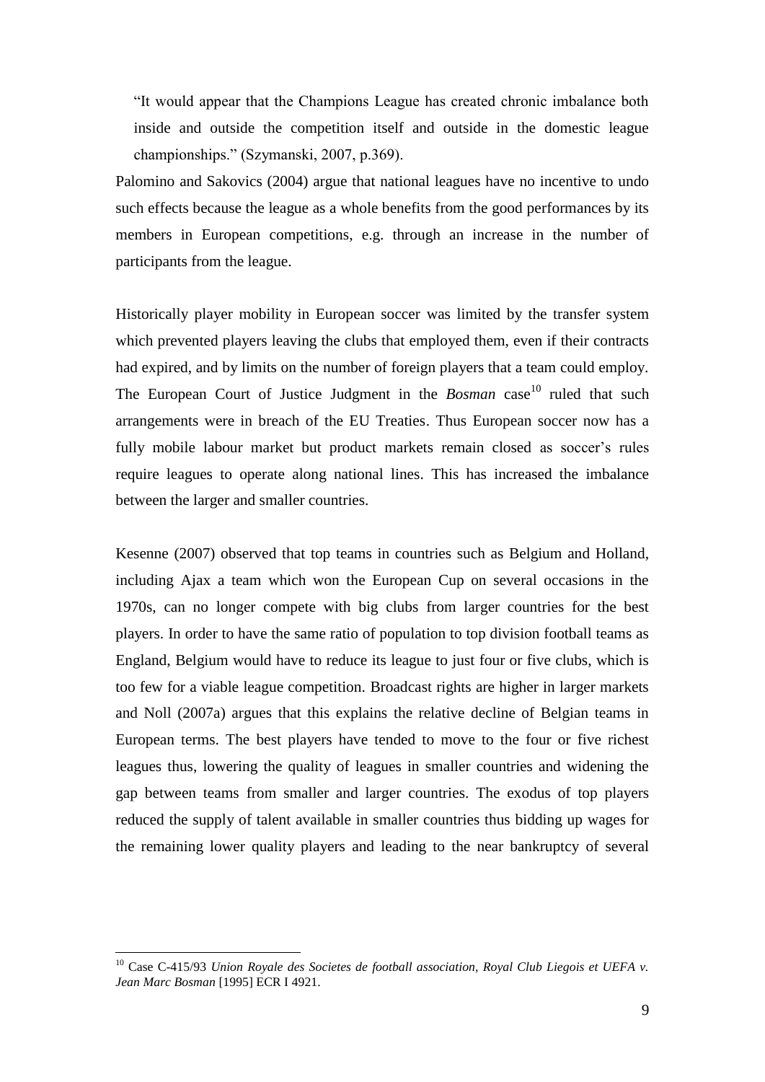"It would appear that the Champions League has created chronic imbalance both inside and outside the competition itself and outside in the domestic league championships." (Szymanski, 2007, p.369).

Palomino and Sakovics (2004) argue that national leagues have no incentive to undo such effects because the league as a whole benefits from the good performances by its members in European competitions, e.g. through an increase in the number of participants from the league.

Historically player mobility in European soccer was limited by the transfer system which prevented players leaving the clubs that employed them, even if their contracts had expired, and by limits on the number of foreign players that a team could employ. The European Court of Justice Judgment in the *Bosman* case<sup>10</sup> ruled that such arrangements were in breach of the EU Treaties. Thus European soccer now has a fully mobile labour market but product markets remain closed as soccer's rules require leagues to operate along national lines. This has increased the imbalance between the larger and smaller countries.

Kesenne (2007) observed that top teams in countries such as Belgium and Holland, including Ajax a team which won the European Cup on several occasions in the 1970s, can no longer compete with big clubs from larger countries for the best players. In order to have the same ratio of population to top division football teams as England, Belgium would have to reduce its league to just four or five clubs, which is too few for a viable league competition. Broadcast rights are higher in larger markets and Noll (2007a) argues that this explains the relative decline of Belgian teams in European terms. The best players have tended to move to the four or five richest leagues thus, lowering the quality of leagues in smaller countries and widening the gap between teams from smaller and larger countries. The exodus of top players reduced the supply of talent available in smaller countries thus bidding up wages for the remaining lower quality players and leading to the near bankruptcy of several

<sup>&</sup>lt;sup>10</sup> Case C-415/93 *Union Royale des Societes de football association, Royal Club Liegois et UEFA v. Jean Marc Bosman* [1995] ECR I 4921.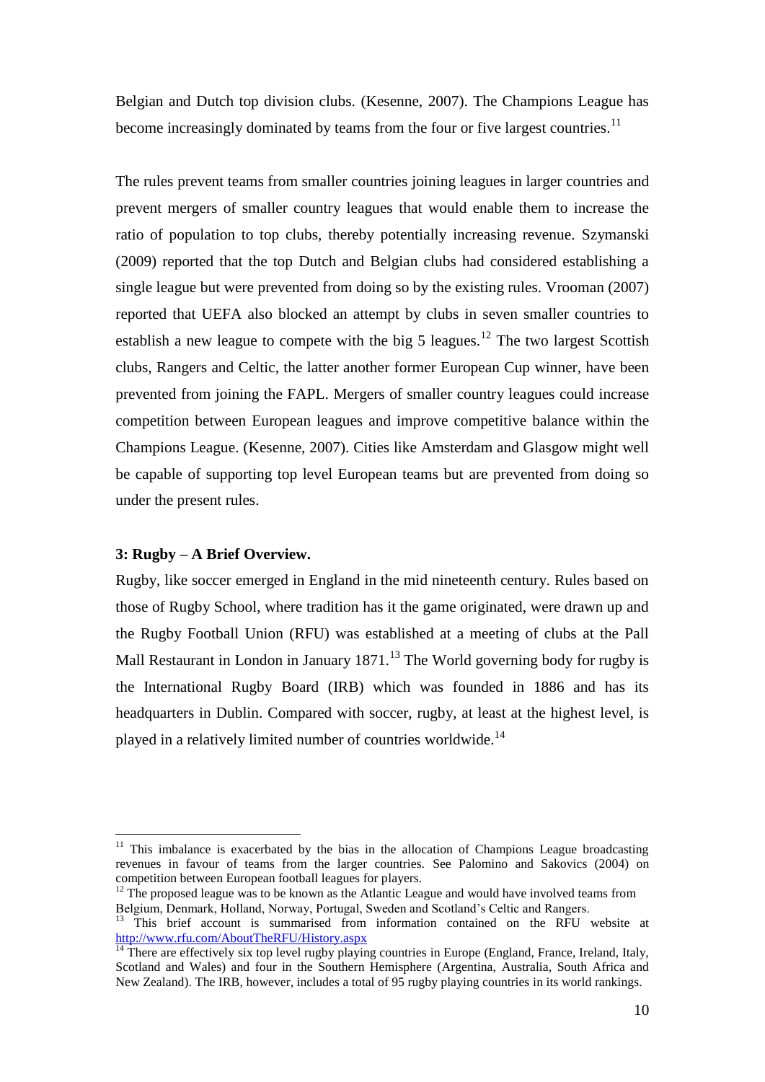Belgian and Dutch top division clubs. (Kesenne, 2007). The Champions League has become increasingly dominated by teams from the four or five largest countries.<sup>11</sup>

The rules prevent teams from smaller countries joining leagues in larger countries and prevent mergers of smaller country leagues that would enable them to increase the ratio of population to top clubs, thereby potentially increasing revenue. Szymanski (2009) reported that the top Dutch and Belgian clubs had considered establishing a single league but were prevented from doing so by the existing rules. Vrooman (2007) reported that UEFA also blocked an attempt by clubs in seven smaller countries to establish a new league to compete with the big 5 leagues.<sup>12</sup> The two largest Scottish clubs, Rangers and Celtic, the latter another former European Cup winner, have been prevented from joining the FAPL. Mergers of smaller country leagues could increase competition between European leagues and improve competitive balance within the Champions League. (Kesenne, 2007). Cities like Amsterdam and Glasgow might well be capable of supporting top level European teams but are prevented from doing so under the present rules.

## **3: Rugby – A Brief Overview.**

1

Rugby, like soccer emerged in England in the mid nineteenth century. Rules based on those of Rugby School, where tradition has it the game originated, were drawn up and the Rugby Football Union (RFU) was established at a meeting of clubs at the Pall Mall Restaurant in London in January 1871.<sup>13</sup> The World governing body for rugby is the International Rugby Board (IRB) which was founded in 1886 and has its headquarters in Dublin. Compared with soccer, rugby, at least at the highest level, is played in a relatively limited number of countries worldwide.<sup>14</sup>

 $11$  This imbalance is exacerbated by the bias in the allocation of Champions League broadcasting revenues in favour of teams from the larger countries. See Palomino and Sakovics (2004) on competition between European football leagues for players.

 $12$  The proposed league was to be known as the Atlantic League and would have involved teams from Belgium, Denmark, Holland, Norway, Portugal, Sweden and Scotland"s Celtic and Rangers.

<sup>&</sup>lt;sup>13</sup> This brief account is summarised from information contained on the RFU website at <http://www.rfu.com/AboutTheRFU/History.aspx>

 $\frac{14}{14}$  There are effectively six top level rugby playing countries in Europe (England, France, Ireland, Italy, Scotland and Wales) and four in the Southern Hemisphere (Argentina, Australia, South Africa and New Zealand). The IRB, however, includes a total of 95 rugby playing countries in its world rankings.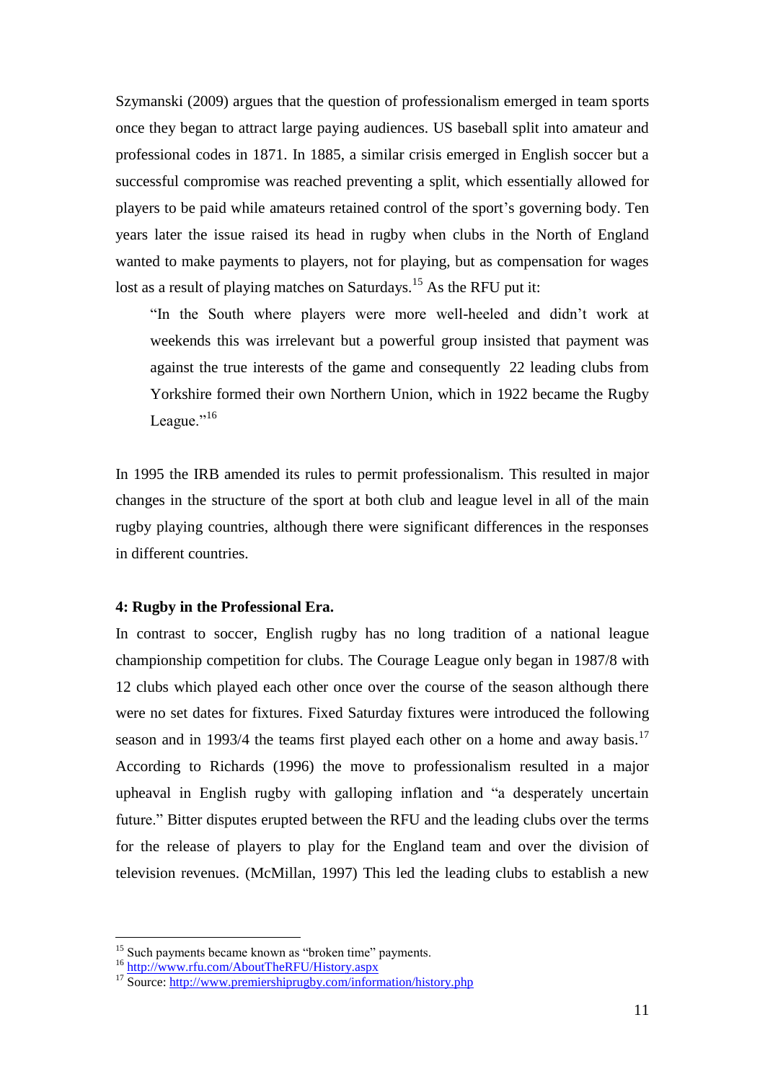Szymanski (2009) argues that the question of professionalism emerged in team sports once they began to attract large paying audiences. US baseball split into amateur and professional codes in 1871. In 1885, a similar crisis emerged in English soccer but a successful compromise was reached preventing a split, which essentially allowed for players to be paid while amateurs retained control of the sport"s governing body. Ten years later the issue raised its head in rugby when clubs in the North of England wanted to make payments to players, not for playing, but as compensation for wages lost as a result of playing matches on Saturdays.<sup>15</sup> As the RFU put it:

"In the South where players were more well-heeled and didn"t work at weekends this was irrelevant but a powerful group insisted that payment was against the true interests of the game and consequently 22 leading clubs from Yorkshire formed their own Northern Union, which in 1922 became the Rugby League."<sup>16</sup>

In 1995 the IRB amended its rules to permit professionalism. This resulted in major changes in the structure of the sport at both club and league level in all of the main rugby playing countries, although there were significant differences in the responses in different countries.

#### **4: Rugby in the Professional Era.**

In contrast to soccer, English rugby has no long tradition of a national league championship competition for clubs. The Courage League only began in 1987/8 with 12 clubs which played each other once over the course of the season although there were no set dates for fixtures. Fixed Saturday fixtures were introduced the following season and in 1993/4 the teams first played each other on a home and away basis.<sup>17</sup> According to Richards (1996) the move to professionalism resulted in a major upheaval in English rugby with galloping inflation and "a desperately uncertain future." Bitter disputes erupted between the RFU and the leading clubs over the terms for the release of players to play for the England team and over the division of television revenues. (McMillan, 1997) This led the leading clubs to establish a new

<u>.</u>

<sup>&</sup>lt;sup>15</sup> Such payments became known as "broken time" payments.

<sup>16</sup> <http://www.rfu.com/AboutTheRFU/History.aspx>

 $^{17}$  Source:<http://www.premiershiprugby.com/information/history.php>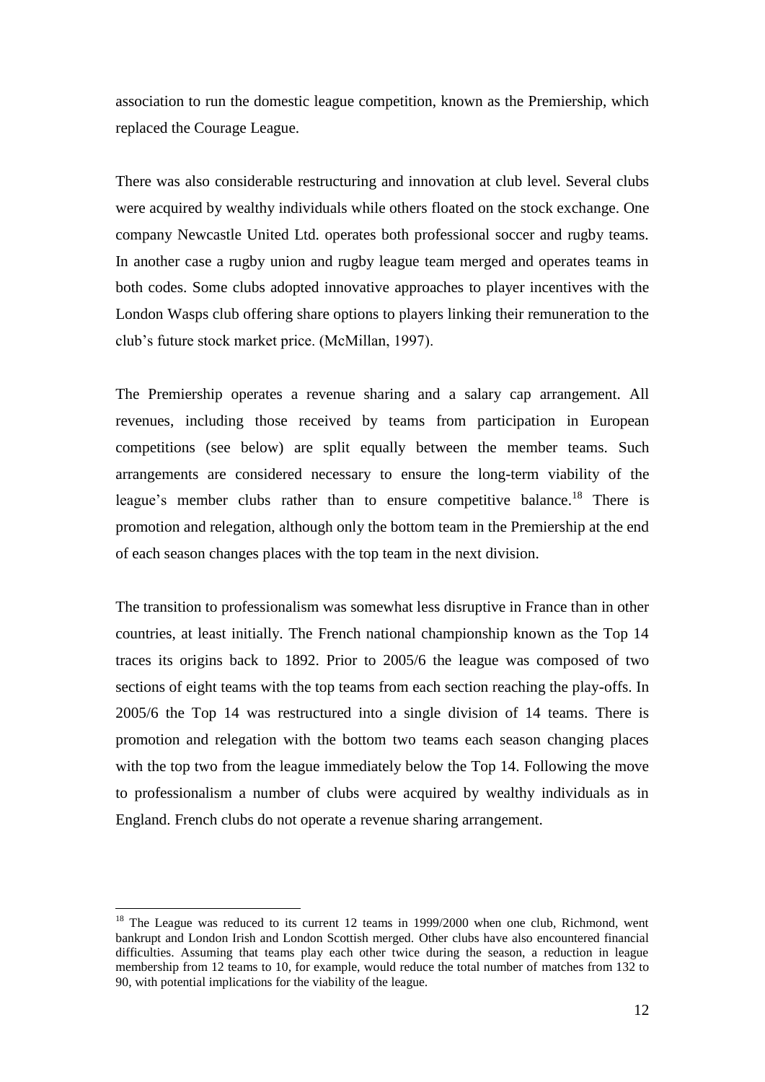association to run the domestic league competition, known as the Premiership, which replaced the Courage League.

There was also considerable restructuring and innovation at club level. Several clubs were acquired by wealthy individuals while others floated on the stock exchange. One company Newcastle United Ltd. operates both professional soccer and rugby teams. In another case a rugby union and rugby league team merged and operates teams in both codes. Some clubs adopted innovative approaches to player incentives with the London Wasps club offering share options to players linking their remuneration to the club"s future stock market price. (McMillan, 1997).

The Premiership operates a revenue sharing and a salary cap arrangement. All revenues, including those received by teams from participation in European competitions (see below) are split equally between the member teams. Such arrangements are considered necessary to ensure the long-term viability of the league's member clubs rather than to ensure competitive balance.<sup>18</sup> There is promotion and relegation, although only the bottom team in the Premiership at the end of each season changes places with the top team in the next division.

The transition to professionalism was somewhat less disruptive in France than in other countries, at least initially. The French national championship known as the Top 14 traces its origins back to 1892. Prior to 2005/6 the league was composed of two sections of eight teams with the top teams from each section reaching the play-offs. In 2005/6 the Top 14 was restructured into a single division of 14 teams. There is promotion and relegation with the bottom two teams each season changing places with the top two from the league immediately below the Top 14. Following the move to professionalism a number of clubs were acquired by wealthy individuals as in England. French clubs do not operate a revenue sharing arrangement.

<u>.</u>

<sup>&</sup>lt;sup>18</sup> The League was reduced to its current 12 teams in 1999/2000 when one club, Richmond, went bankrupt and London Irish and London Scottish merged. Other clubs have also encountered financial difficulties. Assuming that teams play each other twice during the season, a reduction in league membership from 12 teams to 10, for example, would reduce the total number of matches from 132 to 90, with potential implications for the viability of the league.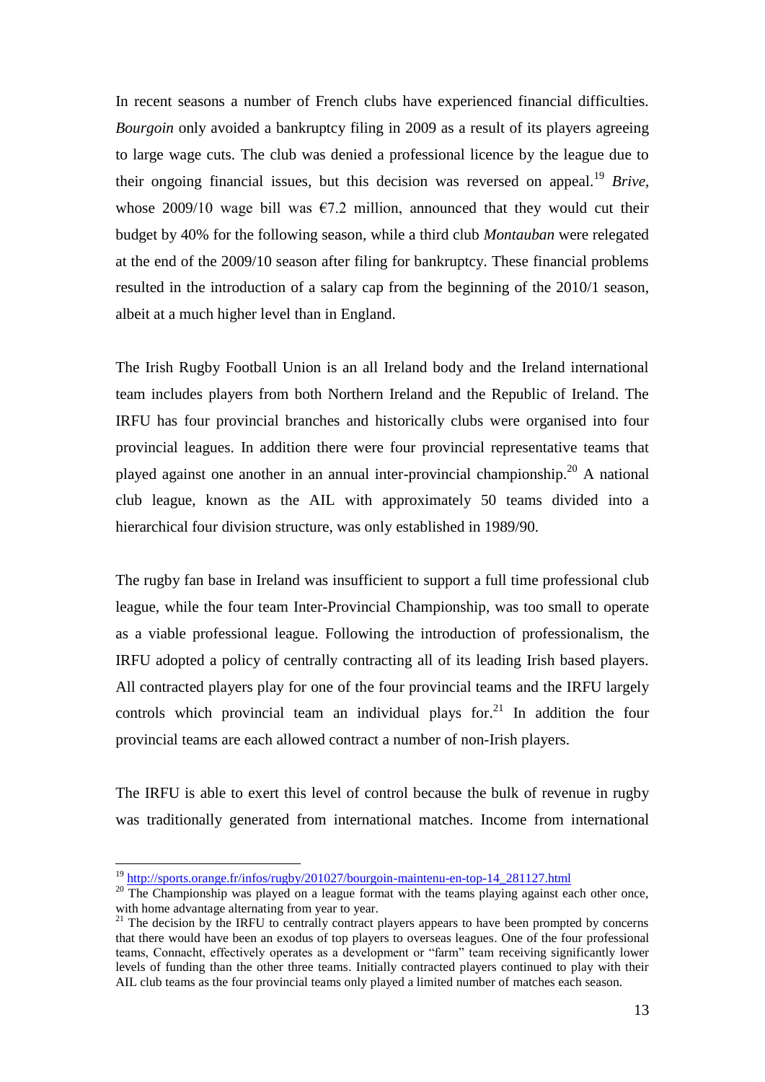In recent seasons a number of French clubs have experienced financial difficulties. *Bourgoin* only avoided a bankruptcy filing in 2009 as a result of its players agreeing to large wage cuts. The club was denied a professional licence by the league due to their ongoing financial issues, but this decision was reversed on appeal.<sup>19</sup> *Brive*. whose 2009/10 wage bill was  $\epsilon$ 7.2 million, announced that they would cut their budget by 40% for the following season, while a third club *Montauban* were relegated at the end of the 2009/10 season after filing for bankruptcy. These financial problems resulted in the introduction of a salary cap from the beginning of the 2010/1 season, albeit at a much higher level than in England.

The Irish Rugby Football Union is an all Ireland body and the Ireland international team includes players from both Northern Ireland and the Republic of Ireland. The IRFU has four provincial branches and historically clubs were organised into four provincial leagues. In addition there were four provincial representative teams that played against one another in an annual inter-provincial championship.<sup>20</sup> A national club league, known as the AIL with approximately 50 teams divided into a hierarchical four division structure, was only established in 1989/90.

The rugby fan base in Ireland was insufficient to support a full time professional club league, while the four team Inter-Provincial Championship, was too small to operate as a viable professional league. Following the introduction of professionalism, the IRFU adopted a policy of centrally contracting all of its leading Irish based players. All contracted players play for one of the four provincial teams and the IRFU largely controls which provincial team an individual plays for.<sup>21</sup> In addition the four provincial teams are each allowed contract a number of non-Irish players.

The IRFU is able to exert this level of control because the bulk of revenue in rugby was traditionally generated from international matches. Income from international

<sup>19</sup> [http://sports.orange.fr/infos/rugby/201027/bourgoin-maintenu-en-top-14\\_281127.html](http://sports.orange.fr/infos/rugby/201027/bourgoin-maintenu-en-top-14_281127.html)

<sup>&</sup>lt;sup>20</sup> The Championship was played on a league format with the teams playing against each other once, with home advantage alternating from year to year.

 $21$  The decision by the IRFU to centrally contract players appears to have been prompted by concerns that there would have been an exodus of top players to overseas leagues. One of the four professional teams, Connacht, effectively operates as a development or "farm" team receiving significantly lower levels of funding than the other three teams. Initially contracted players continued to play with their AIL club teams as the four provincial teams only played a limited number of matches each season.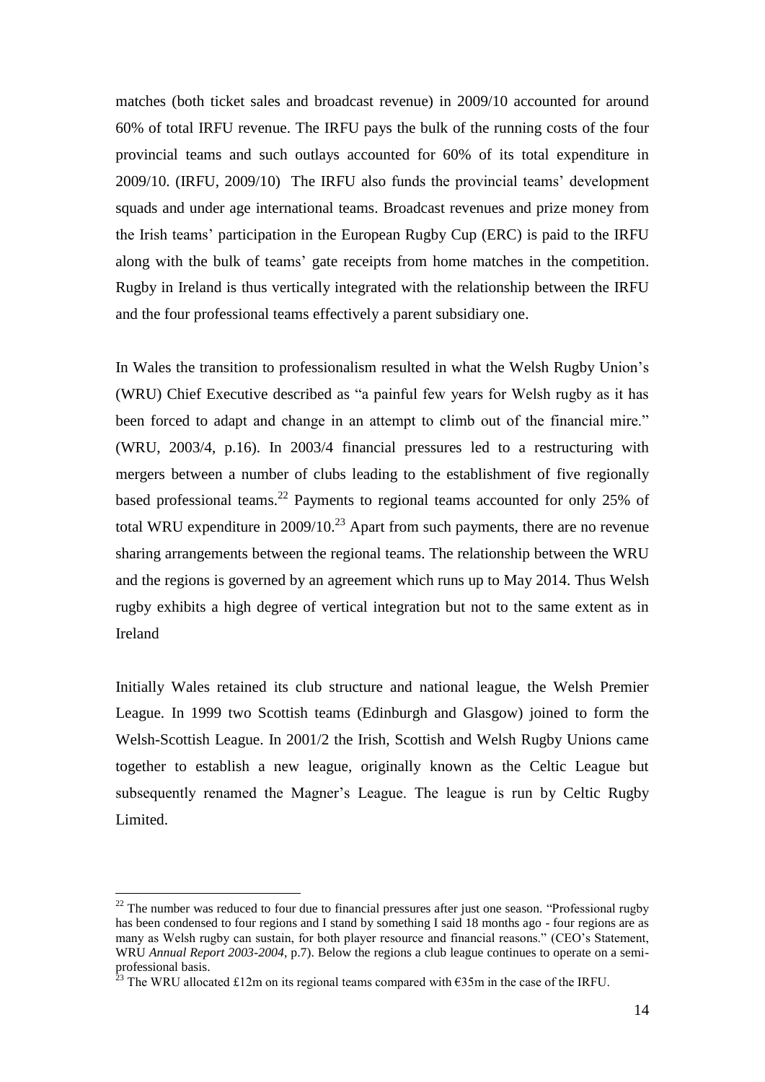matches (both ticket sales and broadcast revenue) in 2009/10 accounted for around 60% of total IRFU revenue. The IRFU pays the bulk of the running costs of the four provincial teams and such outlays accounted for 60% of its total expenditure in 2009/10. (IRFU, 2009/10) The IRFU also funds the provincial teams" development squads and under age international teams. Broadcast revenues and prize money from the Irish teams" participation in the European Rugby Cup (ERC) is paid to the IRFU along with the bulk of teams" gate receipts from home matches in the competition. Rugby in Ireland is thus vertically integrated with the relationship between the IRFU and the four professional teams effectively a parent subsidiary one.

In Wales the transition to professionalism resulted in what the Welsh Rugby Union"s (WRU) Chief Executive described as "a painful few years for Welsh rugby as it has been forced to adapt and change in an attempt to climb out of the financial mire." (WRU, 2003/4, p.16). In 2003/4 financial pressures led to a restructuring with mergers between a number of clubs leading to the establishment of five regionally based professional teams.<sup>22</sup> Payments to regional teams accounted for only 25% of total WRU expenditure in  $2009/10$ <sup>23</sup> Apart from such payments, there are no revenue sharing arrangements between the regional teams. The relationship between the WRU and the regions is governed by an agreement which runs up to May 2014. Thus Welsh rugby exhibits a high degree of vertical integration but not to the same extent as in Ireland

Initially Wales retained its club structure and national league, the Welsh Premier League. In 1999 two Scottish teams (Edinburgh and Glasgow) joined to form the Welsh-Scottish League. In 2001/2 the Irish, Scottish and Welsh Rugby Unions came together to establish a new league, originally known as the Celtic League but subsequently renamed the Magner's League. The league is run by Celtic Rugby Limited.

<sup>&</sup>lt;sup>22</sup> The number was reduced to four due to financial pressures after just one season. "Professional rugby has been condensed to four regions and I stand by something I said 18 months ago - four regions are as many as Welsh rugby can sustain, for both player resource and financial reasons." (CEO's Statement, WRU *Annual Report 2003-2004*, p.7). Below the regions a club league continues to operate on a semiprofessional basis.

<sup>&</sup>lt;sup>23</sup> The WRU allocated £12m on its regional teams compared with  $\epsilon$ 35m in the case of the IRFU.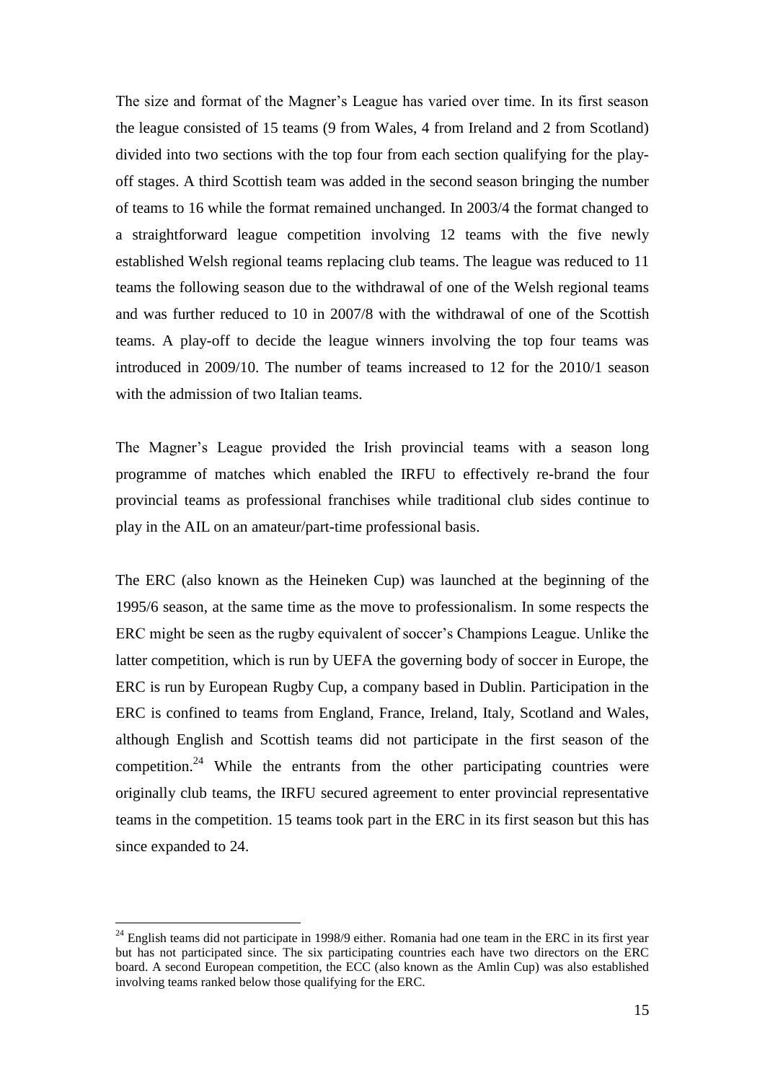The size and format of the Magner"s League has varied over time. In its first season the league consisted of 15 teams (9 from Wales, 4 from Ireland and 2 from Scotland) divided into two sections with the top four from each section qualifying for the playoff stages. A third Scottish team was added in the second season bringing the number of teams to 16 while the format remained unchanged. In 2003/4 the format changed to a straightforward league competition involving 12 teams with the five newly established Welsh regional teams replacing club teams. The league was reduced to 11 teams the following season due to the withdrawal of one of the Welsh regional teams and was further reduced to 10 in 2007/8 with the withdrawal of one of the Scottish teams. A play-off to decide the league winners involving the top four teams was introduced in 2009/10. The number of teams increased to 12 for the 2010/1 season with the admission of two Italian teams.

The Magner's League provided the Irish provincial teams with a season long programme of matches which enabled the IRFU to effectively re-brand the four provincial teams as professional franchises while traditional club sides continue to play in the AIL on an amateur/part-time professional basis.

The ERC (also known as the Heineken Cup) was launched at the beginning of the 1995/6 season, at the same time as the move to professionalism. In some respects the ERC might be seen as the rugby equivalent of soccer"s Champions League. Unlike the latter competition, which is run by UEFA the governing body of soccer in Europe, the ERC is run by European Rugby Cup, a company based in Dublin. Participation in the ERC is confined to teams from England, France, Ireland, Italy, Scotland and Wales, although English and Scottish teams did not participate in the first season of the competition.<sup>24</sup> While the entrants from the other participating countries were originally club teams, the IRFU secured agreement to enter provincial representative teams in the competition. 15 teams took part in the ERC in its first season but this has since expanded to 24.

 $^{24}$  English teams did not participate in 1998/9 either. Romania had one team in the ERC in its first year but has not participated since. The six participating countries each have two directors on the ERC board. A second European competition, the ECC (also known as the Amlin Cup) was also established involving teams ranked below those qualifying for the ERC.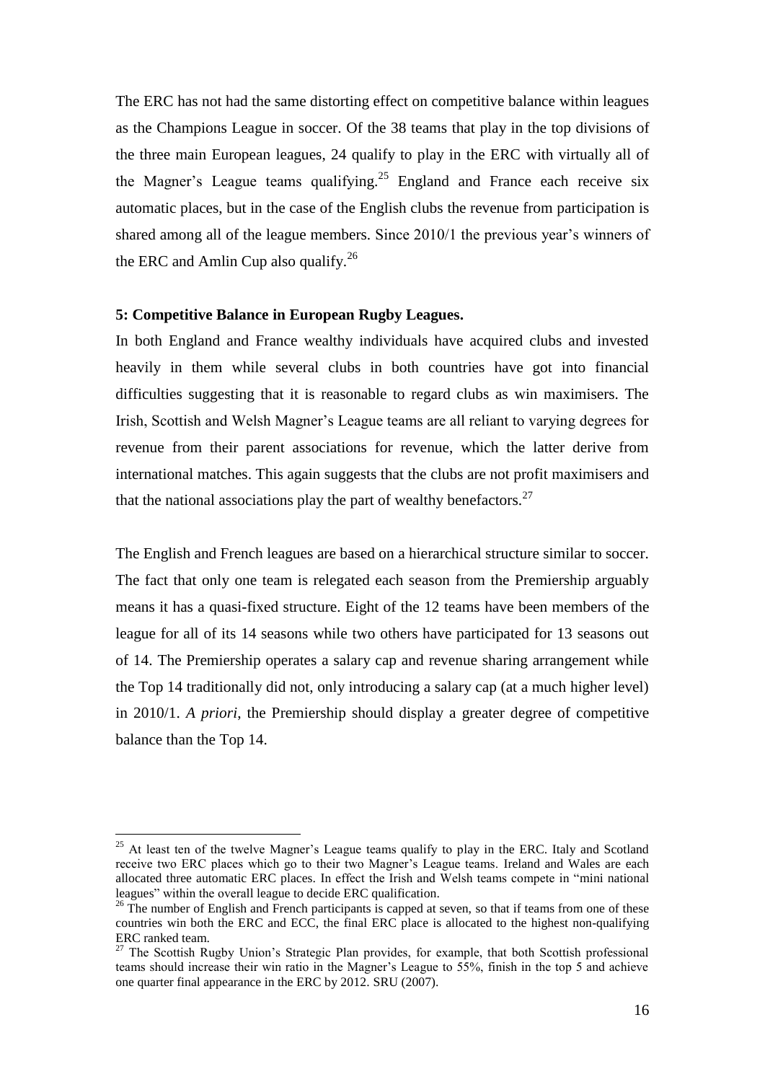The ERC has not had the same distorting effect on competitive balance within leagues as the Champions League in soccer. Of the 38 teams that play in the top divisions of the three main European leagues, 24 qualify to play in the ERC with virtually all of the Magner's League teams qualifying.<sup>25</sup> England and France each receive six automatic places, but in the case of the English clubs the revenue from participation is shared among all of the league members. Since  $2010/1$  the previous year's winners of the ERC and Amlin Cup also qualify.<sup>26</sup>

## **5: Competitive Balance in European Rugby Leagues.**

In both England and France wealthy individuals have acquired clubs and invested heavily in them while several clubs in both countries have got into financial difficulties suggesting that it is reasonable to regard clubs as win maximisers. The Irish, Scottish and Welsh Magner"s League teams are all reliant to varying degrees for revenue from their parent associations for revenue, which the latter derive from international matches. This again suggests that the clubs are not profit maximisers and that the national associations play the part of wealthy benefactors.<sup>27</sup>

The English and French leagues are based on a hierarchical structure similar to soccer. The fact that only one team is relegated each season from the Premiership arguably means it has a quasi-fixed structure. Eight of the 12 teams have been members of the league for all of its 14 seasons while two others have participated for 13 seasons out of 14. The Premiership operates a salary cap and revenue sharing arrangement while the Top 14 traditionally did not, only introducing a salary cap (at a much higher level) in 2010/1. *A priori*, the Premiership should display a greater degree of competitive balance than the Top 14.

 $25$  At least ten of the twelve Magner's League teams qualify to play in the ERC. Italy and Scotland receive two ERC places which go to their two Magner"s League teams. Ireland and Wales are each allocated three automatic ERC places. In effect the Irish and Welsh teams compete in "mini national leagues" within the overall league to decide ERC qualification.

 $26$  The number of English and French participants is capped at seven, so that if teams from one of these countries win both the ERC and ECC, the final ERC place is allocated to the highest non-qualifying ERC ranked team.

 $27$  The Scottish Rugby Union's Strategic Plan provides, for example, that both Scottish professional teams should increase their win ratio in the Magner"s League to 55%, finish in the top 5 and achieve one quarter final appearance in the ERC by 2012. SRU (2007).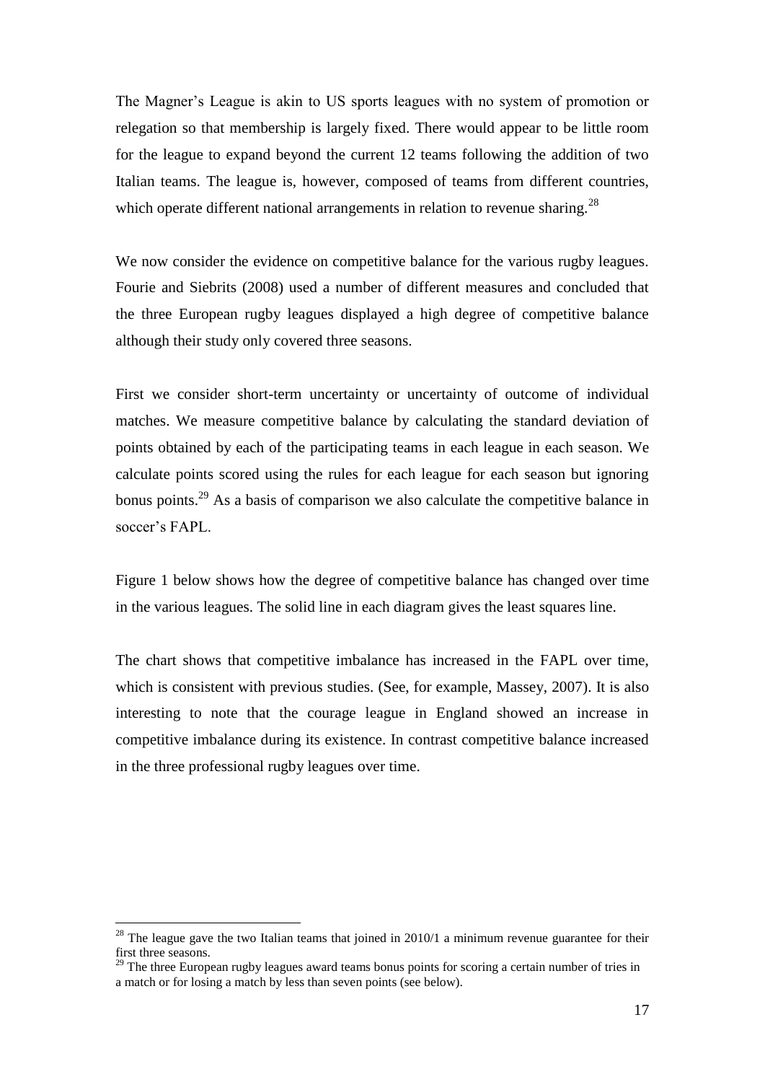The Magner's League is akin to US sports leagues with no system of promotion or relegation so that membership is largely fixed. There would appear to be little room for the league to expand beyond the current 12 teams following the addition of two Italian teams. The league is, however, composed of teams from different countries, which operate different national arrangements in relation to revenue sharing.<sup>28</sup>

We now consider the evidence on competitive balance for the various rugby leagues. Fourie and Siebrits (2008) used a number of different measures and concluded that the three European rugby leagues displayed a high degree of competitive balance although their study only covered three seasons.

First we consider short-term uncertainty or uncertainty of outcome of individual matches. We measure competitive balance by calculating the standard deviation of points obtained by each of the participating teams in each league in each season. We calculate points scored using the rules for each league for each season but ignoring bonus points.<sup>29</sup> As a basis of comparison we also calculate the competitive balance in soccer's FAPL.

Figure 1 below shows how the degree of competitive balance has changed over time in the various leagues. The solid line in each diagram gives the least squares line.

The chart shows that competitive imbalance has increased in the FAPL over time, which is consistent with previous studies. (See, for example, Massey, 2007). It is also interesting to note that the courage league in England showed an increase in competitive imbalance during its existence. In contrast competitive balance increased in the three professional rugby leagues over time.

 $^{28}$  The league gave the two Italian teams that joined in 2010/1 a minimum revenue guarantee for their first three seasons.

 $29$  The three European rugby leagues award teams bonus points for scoring a certain number of tries in a match or for losing a match by less than seven points (see below).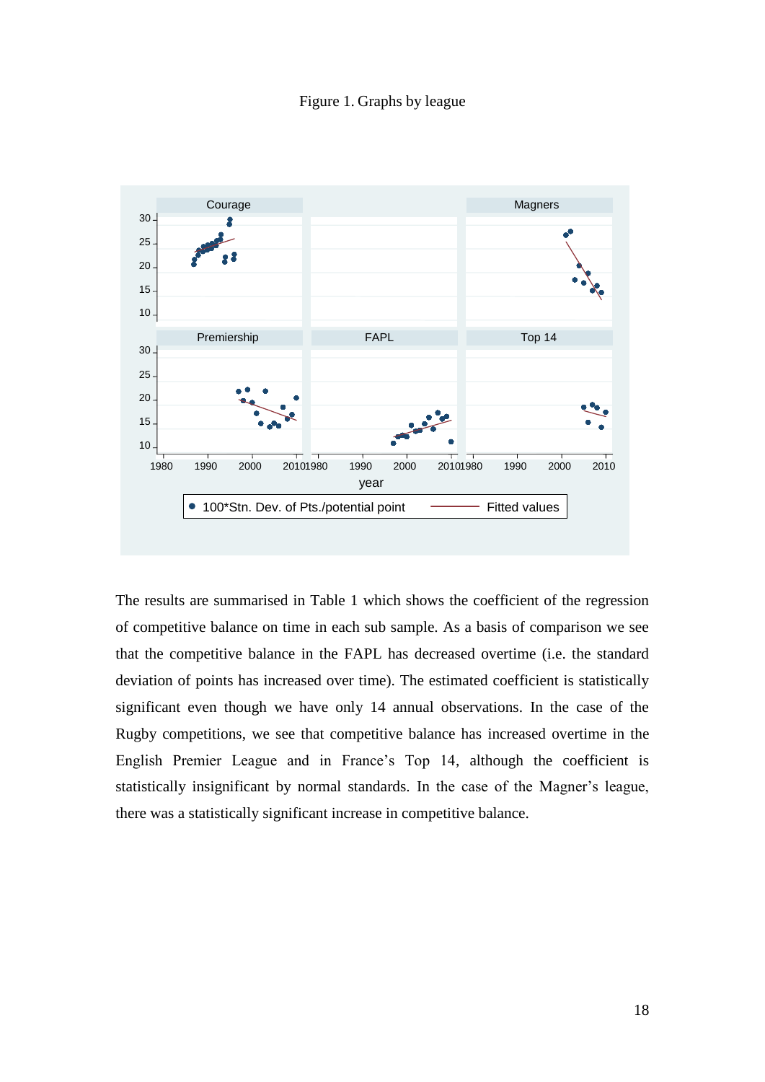Figure 1. Graphs by league



The results are summarised in Table 1 which shows the coefficient of the regression of competitive balance on time in each sub sample. As a basis of comparison we see that the competitive balance in the FAPL has decreased overtime (i.e. the standard deviation of points has increased over time). The estimated coefficient is statistically significant even though we have only 14 annual observations. In the case of the Rugby competitions, we see that competitive balance has increased overtime in the English Premier League and in France"s Top 14, although the coefficient is statistically insignificant by normal standards. In the case of the Magner"s league, there was a statistically significant increase in competitive balance.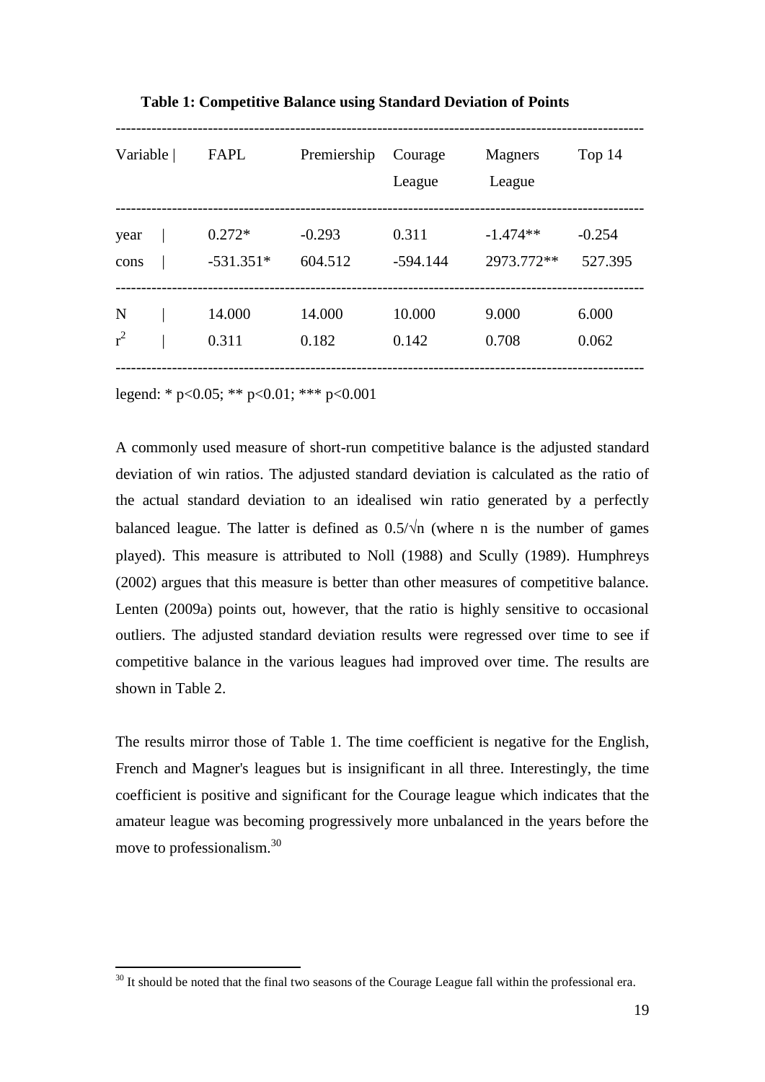| Variable | FAPL        | Premiership | Courage<br>League | Magners<br>League | Top 14   |
|----------|-------------|-------------|-------------------|-------------------|----------|
| year     | $0.272*$    | $-0.293$    | 0.311             | $-1.474**$        | $-0.254$ |
| cons     | $-531.351*$ | 604.512     | $-594.144$        | 2973.772**        | 527.395  |
| N        | 14.000      | 14.000      | 10.000            | 9.000             | 6.000    |
| $r^2$    | 0.311       | 0.182       | 0.142             | 0.708             | 0.062    |

**Table 1: Competitive Balance using Standard Deviation of Points**

legend: \* p<0.05; \*\* p<0.01; \*\*\* p<0.001

1

A commonly used measure of short-run competitive balance is the adjusted standard deviation of win ratios. The adjusted standard deviation is calculated as the ratio of the actual standard deviation to an idealised win ratio generated by a perfectly balanced league. The latter is defined as  $0.5/\sqrt{n}$  (where n is the number of games played). This measure is attributed to Noll (1988) and Scully (1989). Humphreys (2002) argues that this measure is better than other measures of competitive balance. Lenten (2009a) points out, however, that the ratio is highly sensitive to occasional outliers. The adjusted standard deviation results were regressed over time to see if competitive balance in the various leagues had improved over time. The results are shown in Table 2.

The results mirror those of Table 1. The time coefficient is negative for the English, French and Magner's leagues but is insignificant in all three. Interestingly, the time coefficient is positive and significant for the Courage league which indicates that the amateur league was becoming progressively more unbalanced in the years before the move to professionalism.<sup>30</sup>

 $30$  It should be noted that the final two seasons of the Courage League fall within the professional era.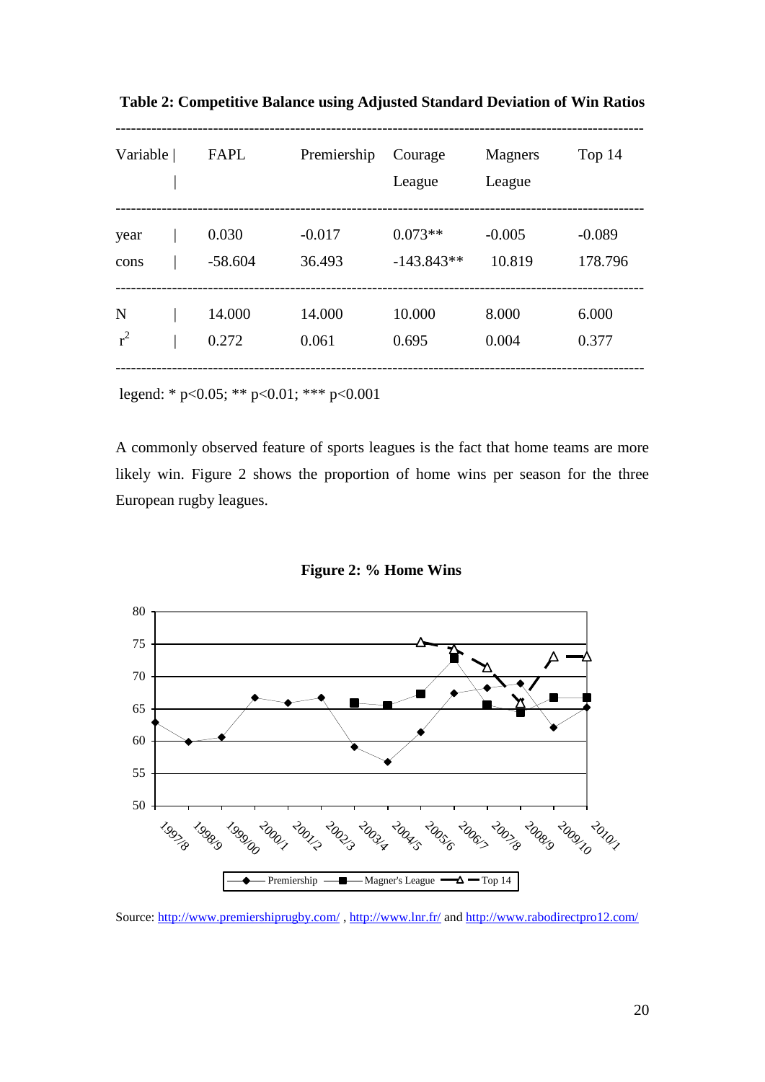| Variable | FAPL      | Premiership | Courage<br>League | <b>Magners</b><br>League | Top 14   |
|----------|-----------|-------------|-------------------|--------------------------|----------|
| year     | 0.030     | $-0.017$    | $0.073**$         | $-0.005$                 | $-0.089$ |
| cons     | $-58.604$ | 36.493      | $-143.843**$      | 10.819                   | 178.796  |
| N        | 14.000    | 14.000      | 10.000            | 8.000                    | 6.000    |
| $r^2$    | 0.272     | 0.061       | 0.695             | 0.004                    | 0.377    |

**Table 2: Competitive Balance using Adjusted Standard Deviation of Win Ratios**

legend: \* p<0.05; \*\* p<0.01; \*\*\* p<0.001

A commonly observed feature of sports leagues is the fact that home teams are more likely win. Figure 2 shows the proportion of home wins per season for the three European rugby leagues.

**Figure 2: % Home Wins**



Source: <http://www.premiershiprugby.com/> ,<http://www.lnr.fr/> an[d http://www.rabodirectpro12.com/](http://www.rabodirectpro12.com/)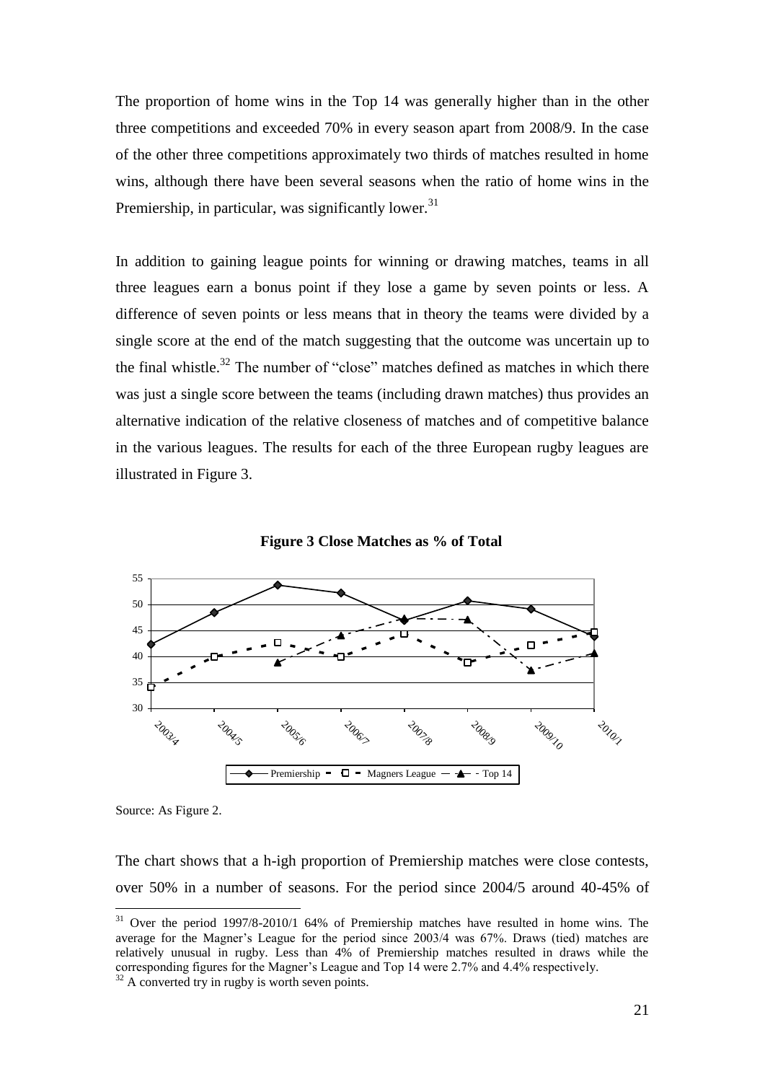The proportion of home wins in the Top 14 was generally higher than in the other three competitions and exceeded 70% in every season apart from 2008/9. In the case of the other three competitions approximately two thirds of matches resulted in home wins, although there have been several seasons when the ratio of home wins in the Premiership, in particular, was significantly lower.<sup>31</sup>

In addition to gaining league points for winning or drawing matches, teams in all three leagues earn a bonus point if they lose a game by seven points or less. A difference of seven points or less means that in theory the teams were divided by a single score at the end of the match suggesting that the outcome was uncertain up to the final whistle.<sup>32</sup> The number of "close" matches defined as matches in which there was just a single score between the teams (including drawn matches) thus provides an alternative indication of the relative closeness of matches and of competitive balance in the various leagues. The results for each of the three European rugby leagues are illustrated in Figure 3.





Source: As Figure 2.

<u>.</u>

The chart shows that a h-igh proportion of Premiership matches were close contests, over 50% in a number of seasons. For the period since 2004/5 around 40-45% of

<sup>&</sup>lt;sup>31</sup> Over the period 1997/8-2010/1 64% of Premiership matches have resulted in home wins. The average for the Magner"s League for the period since 2003/4 was 67%. Draws (tied) matches are relatively unusual in rugby. Less than 4% of Premiership matches resulted in draws while the corresponding figures for the Magner"s League and Top 14 were 2.7% and 4.4% respectively.

 $32$  A converted try in rugby is worth seven points.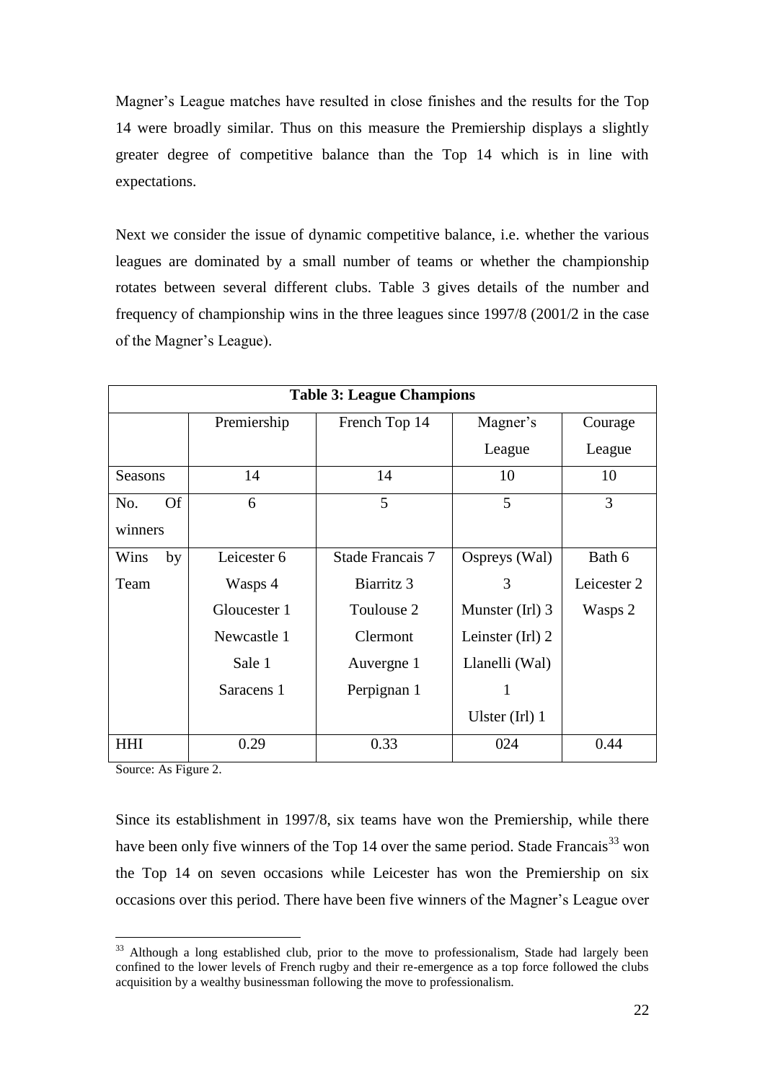Magner's League matches have resulted in close finishes and the results for the Top 14 were broadly similar. Thus on this measure the Premiership displays a slightly greater degree of competitive balance than the Top 14 which is in line with expectations.

Next we consider the issue of dynamic competitive balance, i.e. whether the various leagues are dominated by a small number of teams or whether the championship rotates between several different clubs. Table 3 gives details of the number and frequency of championship wins in the three leagues since 1997/8 (2001/2 in the case of the Magner"s League).

| <b>Table 3: League Champions</b> |              |                  |                   |             |  |  |
|----------------------------------|--------------|------------------|-------------------|-------------|--|--|
|                                  | Premiership  | French Top 14    | Magner's          | Courage     |  |  |
|                                  |              |                  | League            | League      |  |  |
| <b>Seasons</b>                   | 14           | 14               | 10                | 10          |  |  |
| <b>Of</b><br>No.                 | 6            | 5                | 5                 | 3           |  |  |
| winners                          |              |                  |                   |             |  |  |
| Wins<br>by                       | Leicester 6  | Stade Francais 7 | Ospreys (Wal)     | Bath 6      |  |  |
| Team                             | Wasps 4      | Biarritz 3       | 3                 | Leicester 2 |  |  |
|                                  | Gloucester 1 | Toulouse 2       | Munster (Irl) 3   | Wasps 2     |  |  |
|                                  | Newcastle 1  | Clermont         | Leinster $(Ir)$ 2 |             |  |  |
|                                  | Sale 1       | Auvergne 1       | Llanelli (Wal)    |             |  |  |
|                                  | Saracens 1   | Perpignan 1      | 1                 |             |  |  |
|                                  |              |                  | Ulster $(Ir)$ 1   |             |  |  |
| <b>HHI</b>                       | 0.29         | 0.33             | 024               | 0.44        |  |  |

Source: As Figure 2.

<u>.</u>

Since its establishment in 1997/8, six teams have won the Premiership, while there have been only five winners of the Top 14 over the same period. Stade Francais<sup>33</sup> won the Top 14 on seven occasions while Leicester has won the Premiership on six occasions over this period. There have been five winners of the Magner"s League over

<sup>&</sup>lt;sup>33</sup> Although a long established club, prior to the move to professionalism, Stade had largely been confined to the lower levels of French rugby and their re-emergence as a top force followed the clubs acquisition by a wealthy businessman following the move to professionalism.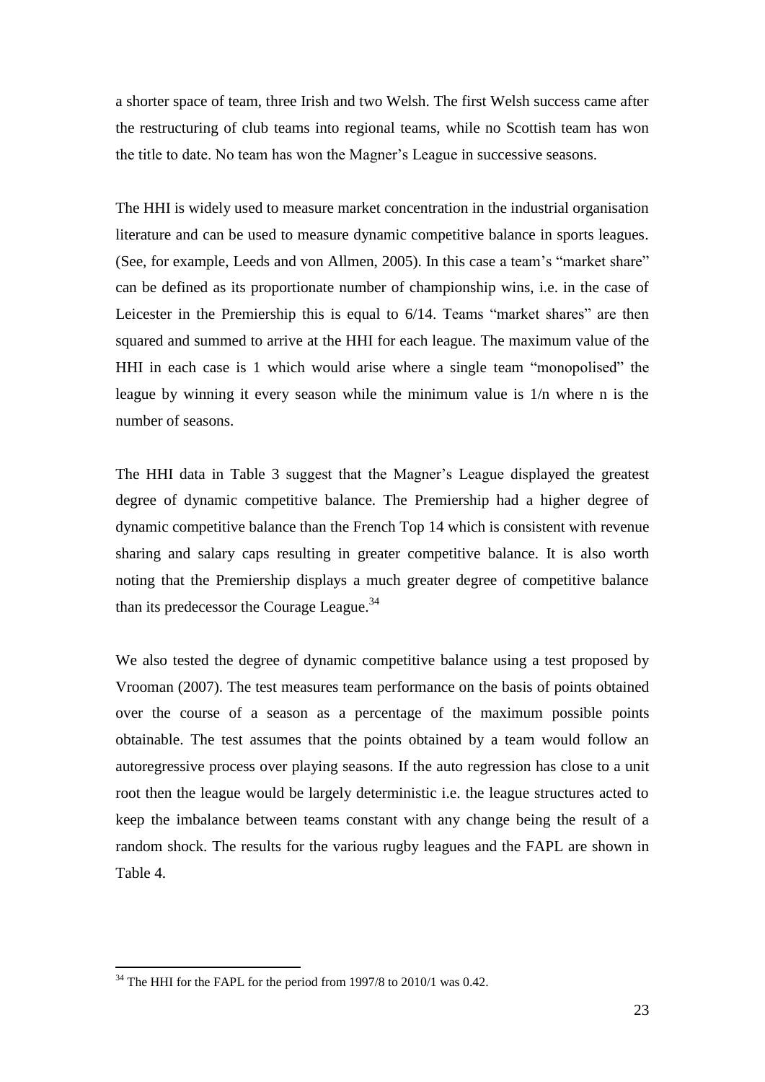a shorter space of team, three Irish and two Welsh. The first Welsh success came after the restructuring of club teams into regional teams, while no Scottish team has won the title to date. No team has won the Magner"s League in successive seasons.

The HHI is widely used to measure market concentration in the industrial organisation literature and can be used to measure dynamic competitive balance in sports leagues. (See, for example, Leeds and von Allmen, 2005). In this case a team's "market share" can be defined as its proportionate number of championship wins, i.e. in the case of Leicester in the Premiership this is equal to  $6/14$ . Teams "market shares" are then squared and summed to arrive at the HHI for each league. The maximum value of the HHI in each case is 1 which would arise where a single team "monopolised" the league by winning it every season while the minimum value is 1/n where n is the number of seasons.

The HHI data in Table 3 suggest that the Magner"s League displayed the greatest degree of dynamic competitive balance. The Premiership had a higher degree of dynamic competitive balance than the French Top 14 which is consistent with revenue sharing and salary caps resulting in greater competitive balance. It is also worth noting that the Premiership displays a much greater degree of competitive balance than its predecessor the Courage League.<sup>34</sup>

We also tested the degree of dynamic competitive balance using a test proposed by Vrooman (2007). The test measures team performance on the basis of points obtained over the course of a season as a percentage of the maximum possible points obtainable. The test assumes that the points obtained by a team would follow an autoregressive process over playing seasons. If the auto regression has close to a unit root then the league would be largely deterministic i.e. the league structures acted to keep the imbalance between teams constant with any change being the result of a random shock. The results for the various rugby leagues and the FAPL are shown in Table 4.

 $34$  The HHI for the FAPL for the period from 1997/8 to 2010/1 was 0.42.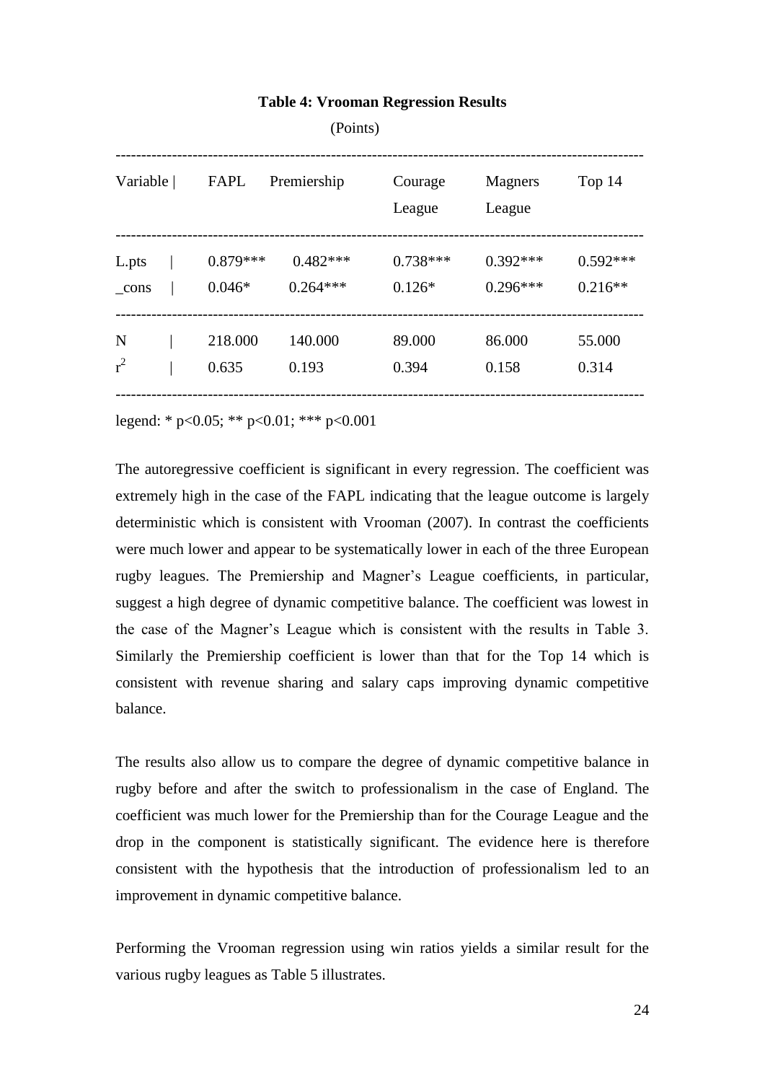|               |            | (POINIS)    |                   |                   |            |
|---------------|------------|-------------|-------------------|-------------------|------------|
| Variable      | FAPL       | Premiership | Courage<br>League | Magners<br>League | Top 14     |
| L.pts         | $0.879***$ | $0.482***$  | $0.738***$        | $0.392***$        | $0.592***$ |
| $_{\rm cons}$ | $0.046*$   | $0.264***$  | $0.126*$          | $0.296***$        | $0.216**$  |
| N             | 218.000    | 140.000     | 89.000            | 86.000            | 55.000     |
| $r^2$         | 0.635      | 0.193       | 0.394             | 0.158             | 0.314      |

## **Table 4: Vrooman Regression Results**

 $(D<sub>1</sub>, t<sub>1</sub>)$ 

legend: \* p<0.05; \*\* p<0.01; \*\*\* p<0.001

The autoregressive coefficient is significant in every regression. The coefficient was extremely high in the case of the FAPL indicating that the league outcome is largely deterministic which is consistent with Vrooman (2007). In contrast the coefficients were much lower and appear to be systematically lower in each of the three European rugby leagues. The Premiership and Magner"s League coefficients, in particular, suggest a high degree of dynamic competitive balance. The coefficient was lowest in the case of the Magner"s League which is consistent with the results in Table 3. Similarly the Premiership coefficient is lower than that for the Top 14 which is consistent with revenue sharing and salary caps improving dynamic competitive balance.

The results also allow us to compare the degree of dynamic competitive balance in rugby before and after the switch to professionalism in the case of England. The coefficient was much lower for the Premiership than for the Courage League and the drop in the component is statistically significant. The evidence here is therefore consistent with the hypothesis that the introduction of professionalism led to an improvement in dynamic competitive balance.

Performing the Vrooman regression using win ratios yields a similar result for the various rugby leagues as Table 5 illustrates.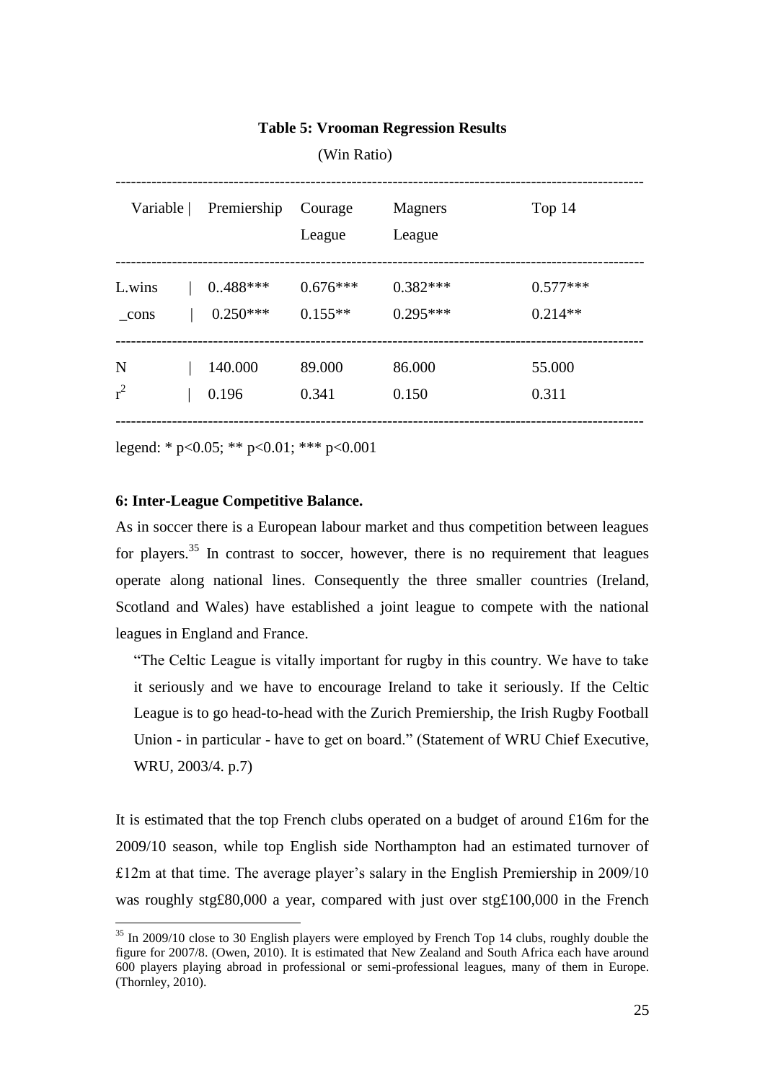## **Table 5: Vrooman Regression Results**

(Win Ratio)

| Variable | Premiership | Courage<br>League | <b>Magners</b><br>League | Top 14     |
|----------|-------------|-------------------|--------------------------|------------|
| L.wins   | $0.488***$  | $0.676***$        | $0.382***$               | $0.577***$ |
| cons     | $0.250***$  | $0.155**$         | $0.295***$               | $0.214**$  |
| N        | 140.000     | 89.000            | 86.000                   | 55.000     |
| $r^2$    | 0.196       | 0.341             | 0.150                    | 0.311      |

legend: \* p<0.05; \*\* p<0.01; \*\*\* p<0.001

## **6: Inter-League Competitive Balance.**

1

As in soccer there is a European labour market and thus competition between leagues for players.<sup>35</sup> In contrast to soccer, however, there is no requirement that leagues operate along national lines. Consequently the three smaller countries (Ireland, Scotland and Wales) have established a joint league to compete with the national leagues in England and France.

"The Celtic League is vitally important for rugby in this country. We have to take it seriously and we have to encourage Ireland to take it seriously. If the Celtic League is to go head-to-head with the Zurich Premiership, the Irish Rugby Football Union - in particular - have to get on board." (Statement of WRU Chief Executive, WRU, 2003/4. p.7)

It is estimated that the top French clubs operated on a budget of around £16m for the 2009/10 season, while top English side Northampton had an estimated turnover of  $£12m$  at that time. The average player's salary in the English Premiership in 2009/10 was roughly stg£80,000 a year, compared with just over stg£100,000 in the French

<sup>&</sup>lt;sup>35</sup> In 2009/10 close to 30 English players were employed by French Top 14 clubs, roughly double the figure for 2007/8. (Owen, 2010). It is estimated that New Zealand and South Africa each have around 600 players playing abroad in professional or semi-professional leagues, many of them in Europe.  $(Thenley, 2010).$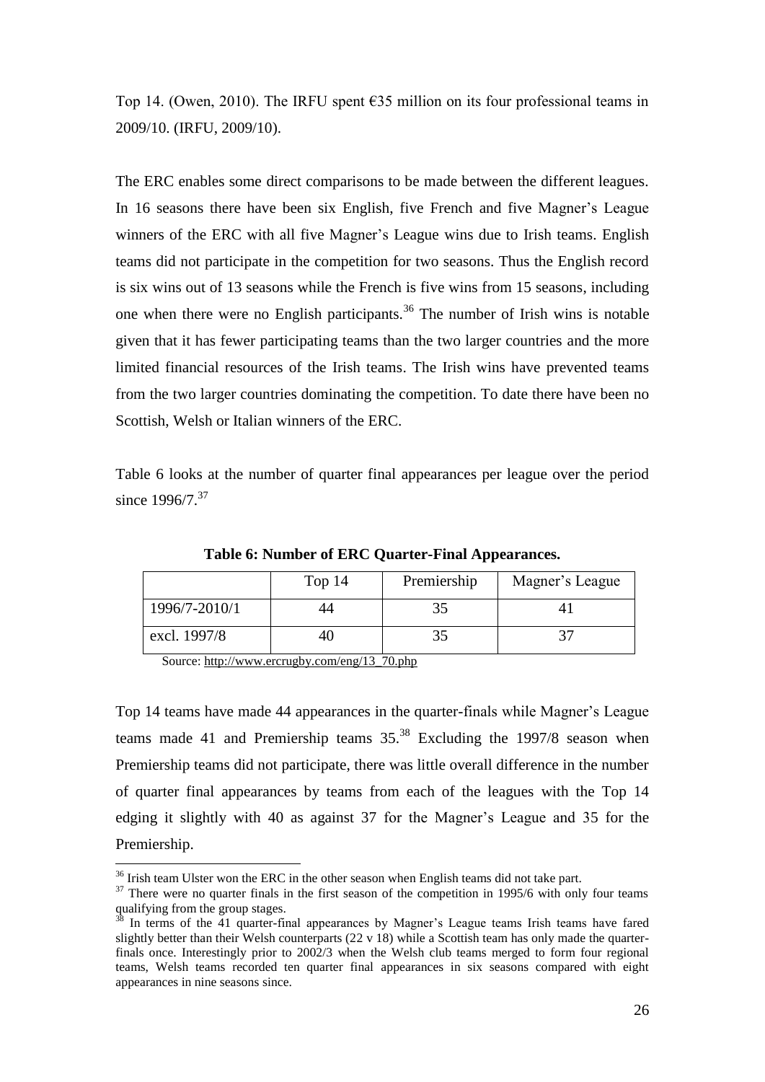Top 14. (Owen, 2010). The IRFU spent  $\epsilon$ 35 million on its four professional teams in 2009/10. (IRFU, 2009/10).

The ERC enables some direct comparisons to be made between the different leagues. In 16 seasons there have been six English, five French and five Magner"s League winners of the ERC with all five Magner's League wins due to Irish teams. English teams did not participate in the competition for two seasons. Thus the English record is six wins out of 13 seasons while the French is five wins from 15 seasons, including one when there were no English participants.<sup>36</sup> The number of Irish wins is notable given that it has fewer participating teams than the two larger countries and the more limited financial resources of the Irish teams. The Irish wins have prevented teams from the two larger countries dominating the competition. To date there have been no Scottish, Welsh or Italian winners of the ERC.

Table 6 looks at the number of quarter final appearances per league over the period since 1996/7.<sup>37</sup>

|               | Top 14 | Premiership | Magner's League |
|---------------|--------|-------------|-----------------|
| 1996/7-2010/1 | 44     |             |                 |
| excl. 1997/8  | 40     |             |                 |

**Table 6: Number of ERC Quarter-Final Appearances.**

Source: [http://www.ercrugby.com/eng/13\\_70.php](http://www.ercrugby.com/eng/13_70.php) 

1

Top 14 teams have made 44 appearances in the quarter-finals while Magner"s League teams made 41 and Premiership teams  $35.^{38}$  Excluding the 1997/8 season when Premiership teams did not participate, there was little overall difference in the number of quarter final appearances by teams from each of the leagues with the Top 14 edging it slightly with 40 as against 37 for the Magner"s League and 35 for the Premiership.

 $36$  Irish team Ulster won the ERC in the other season when English teams did not take part.

 $37$  There were no quarter finals in the first season of the competition in 1995/6 with only four teams qualifying from the group stages.

<sup>&</sup>lt;sup>38</sup> In terms of the 41 quarter-final appearances by Magner's League teams Irish teams have fared slightly better than their Welsh counterparts  $(22 \times 18)$  while a Scottish team has only made the quarterfinals once. Interestingly prior to 2002/3 when the Welsh club teams merged to form four regional teams, Welsh teams recorded ten quarter final appearances in six seasons compared with eight appearances in nine seasons since.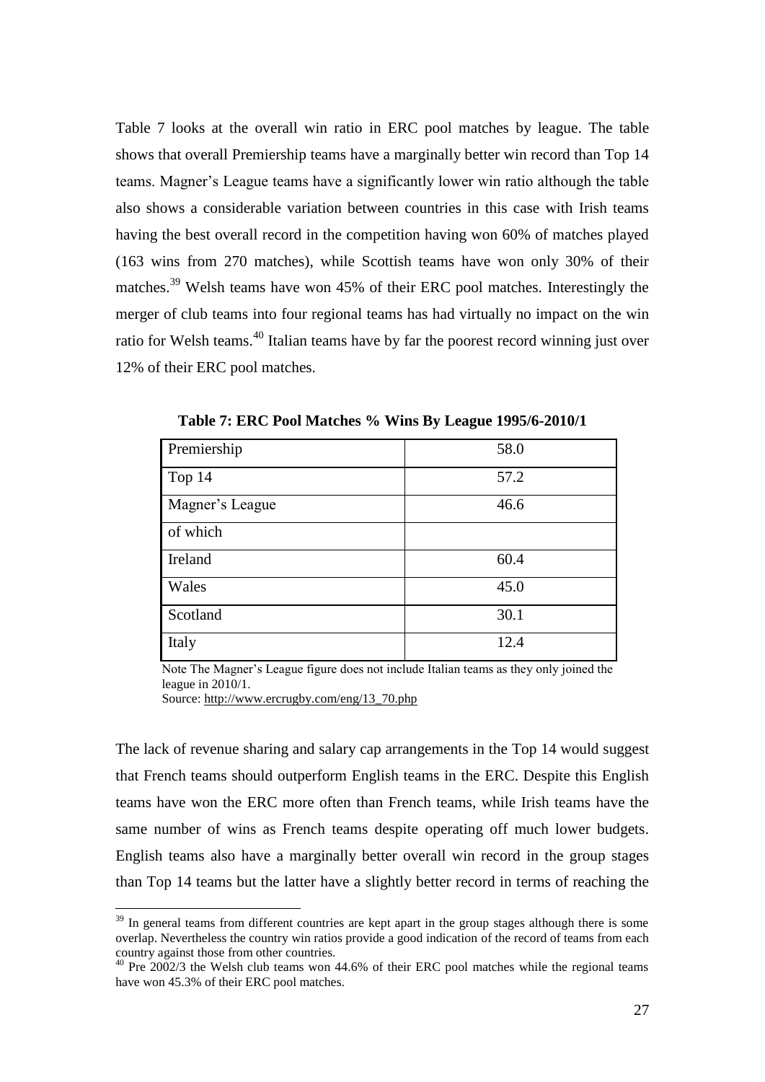Table 7 looks at the overall win ratio in ERC pool matches by league. The table shows that overall Premiership teams have a marginally better win record than Top 14 teams. Magner"s League teams have a significantly lower win ratio although the table also shows a considerable variation between countries in this case with Irish teams having the best overall record in the competition having won 60% of matches played (163 wins from 270 matches), while Scottish teams have won only 30% of their matches.<sup>39</sup> Welsh teams have won 45% of their ERC pool matches. Interestingly the merger of club teams into four regional teams has had virtually no impact on the win ratio for Welsh teams.<sup>40</sup> Italian teams have by far the poorest record winning just over 12% of their ERC pool matches.

| Premiership     | 58.0 |
|-----------------|------|
| Top $14$        | 57.2 |
| Magner's League | 46.6 |
| of which        |      |
| Ireland         | 60.4 |
| Wales           | 45.0 |
| Scotland        | 30.1 |
| Italy           | 12.4 |

**Table 7: ERC Pool Matches % Wins By League 1995/6-2010/1**

Note The Magner"s League figure does not include Italian teams as they only joined the league in 2010/1.

Source: [http://www.ercrugby.com/eng/13\\_70.php](http://www.ercrugby.com/eng/13_70.php) 

<u>.</u>

The lack of revenue sharing and salary cap arrangements in the Top 14 would suggest that French teams should outperform English teams in the ERC. Despite this English teams have won the ERC more often than French teams, while Irish teams have the same number of wins as French teams despite operating off much lower budgets. English teams also have a marginally better overall win record in the group stages than Top 14 teams but the latter have a slightly better record in terms of reaching the

<sup>&</sup>lt;sup>39</sup> In general teams from different countries are kept apart in the group stages although there is some overlap. Nevertheless the country win ratios provide a good indication of the record of teams from each country against those from other countries.

 $40$  Pre 2002/3 the Welsh club teams won 44.6% of their ERC pool matches while the regional teams have won 45.3% of their ERC pool matches.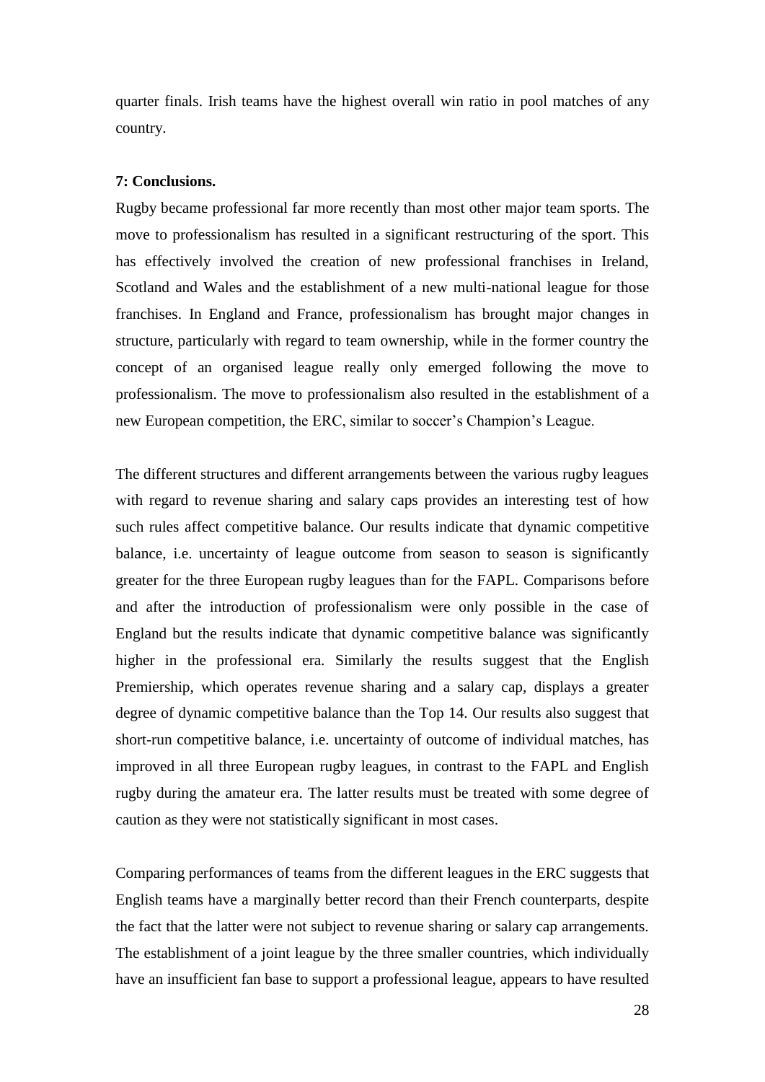quarter finals. Irish teams have the highest overall win ratio in pool matches of any country.

#### **7: Conclusions.**

Rugby became professional far more recently than most other major team sports. The move to professionalism has resulted in a significant restructuring of the sport. This has effectively involved the creation of new professional franchises in Ireland, Scotland and Wales and the establishment of a new multi-national league for those franchises. In England and France, professionalism has brought major changes in structure, particularly with regard to team ownership, while in the former country the concept of an organised league really only emerged following the move to professionalism. The move to professionalism also resulted in the establishment of a new European competition, the ERC, similar to soccer"s Champion"s League.

The different structures and different arrangements between the various rugby leagues with regard to revenue sharing and salary caps provides an interesting test of how such rules affect competitive balance. Our results indicate that dynamic competitive balance, i.e. uncertainty of league outcome from season to season is significantly greater for the three European rugby leagues than for the FAPL. Comparisons before and after the introduction of professionalism were only possible in the case of England but the results indicate that dynamic competitive balance was significantly higher in the professional era. Similarly the results suggest that the English Premiership, which operates revenue sharing and a salary cap, displays a greater degree of dynamic competitive balance than the Top 14. Our results also suggest that short-run competitive balance, i.e. uncertainty of outcome of individual matches, has improved in all three European rugby leagues, in contrast to the FAPL and English rugby during the amateur era. The latter results must be treated with some degree of caution as they were not statistically significant in most cases.

Comparing performances of teams from the different leagues in the ERC suggests that English teams have a marginally better record than their French counterparts, despite the fact that the latter were not subject to revenue sharing or salary cap arrangements. The establishment of a joint league by the three smaller countries, which individually have an insufficient fan base to support a professional league, appears to have resulted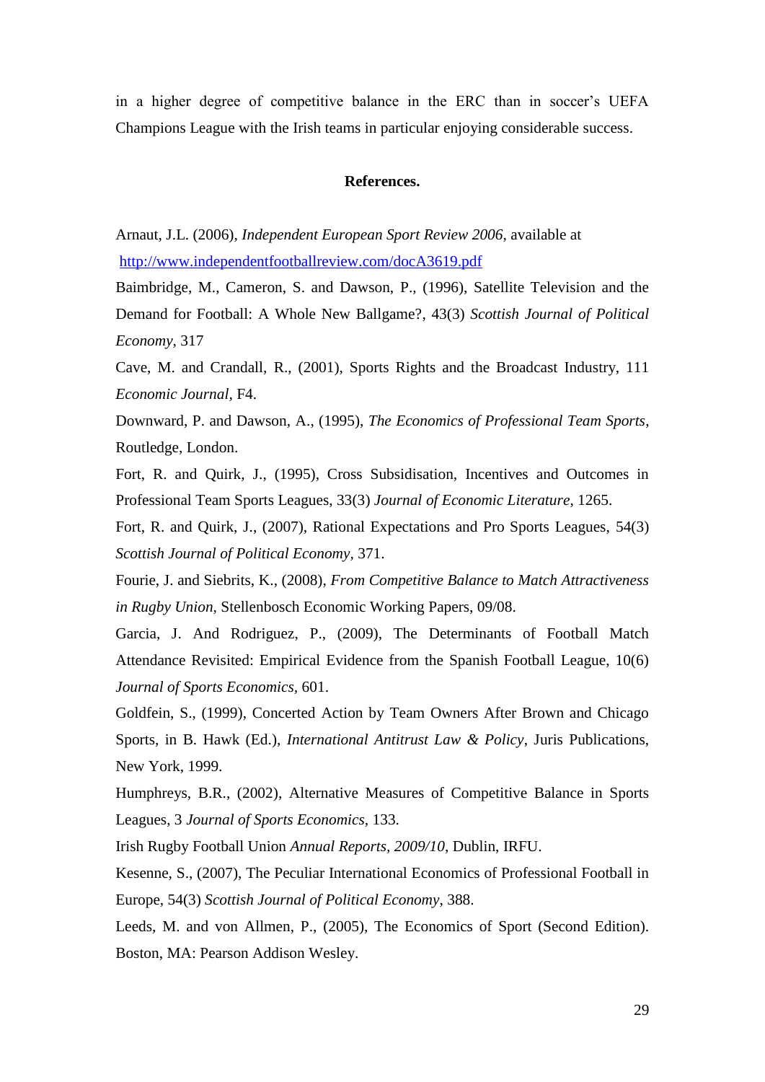in a higher degree of competitive balance in the ERC than in soccer's UEFA Champions League with the Irish teams in particular enjoying considerable success.

#### **References.**

Arnaut, J.L. (2006), *Independent European Sport Review 2006*, available at <http://www.independentfootballreview.com/docA3619.pdf>

Baimbridge, M., Cameron, S. and Dawson, P., (1996), Satellite Television and the Demand for Football: A Whole New Ballgame?, 43(3) *Scottish Journal of Political Economy*, 317

Cave, M. and Crandall, R., (2001), Sports Rights and the Broadcast Industry, 111 *Economic Journal,* F4.

Downward, P. and Dawson, A., (1995), *The Economics of Professional Team Sports*, Routledge, London.

Fort, R. and Quirk, J., (1995), Cross Subsidisation, Incentives and Outcomes in Professional Team Sports Leagues, 33(3) *Journal of Economic Literature*, 1265.

Fort, R. and Quirk, J., (2007), Rational Expectations and Pro Sports Leagues, 54(3) *Scottish Journal of Political Economy,* 371.

Fourie, J. and Siebrits, K., (2008), *From Competitive Balance to Match Attractiveness in Rugby Union,* Stellenbosch Economic Working Papers, 09/08.

Garcia, J. And Rodriguez, P., (2009), The Determinants of Football Match Attendance Revisited: Empirical Evidence from the Spanish Football League, 10(6) *Journal of Sports Economics,* 601.

Goldfein, S., (1999), Concerted Action by Team Owners After Brown and Chicago Sports, in B. Hawk (Ed.), *International Antitrust Law & Policy*, Juris Publications, New York, 1999.

Humphreys, B.R., (2002), Alternative Measures of Competitive Balance in Sports Leagues, 3 *Journal of Sports Economics*, 133.

Irish Rugby Football Union *Annual Reports, 2009/10*, Dublin, IRFU.

Kesenne, S., (2007), The Peculiar International Economics of Professional Football in Europe, 54(3) *Scottish Journal of Political Economy*, 388.

Leeds, M. and von Allmen, P., (2005), The Economics of Sport (Second Edition). Boston, MA: Pearson Addison Wesley.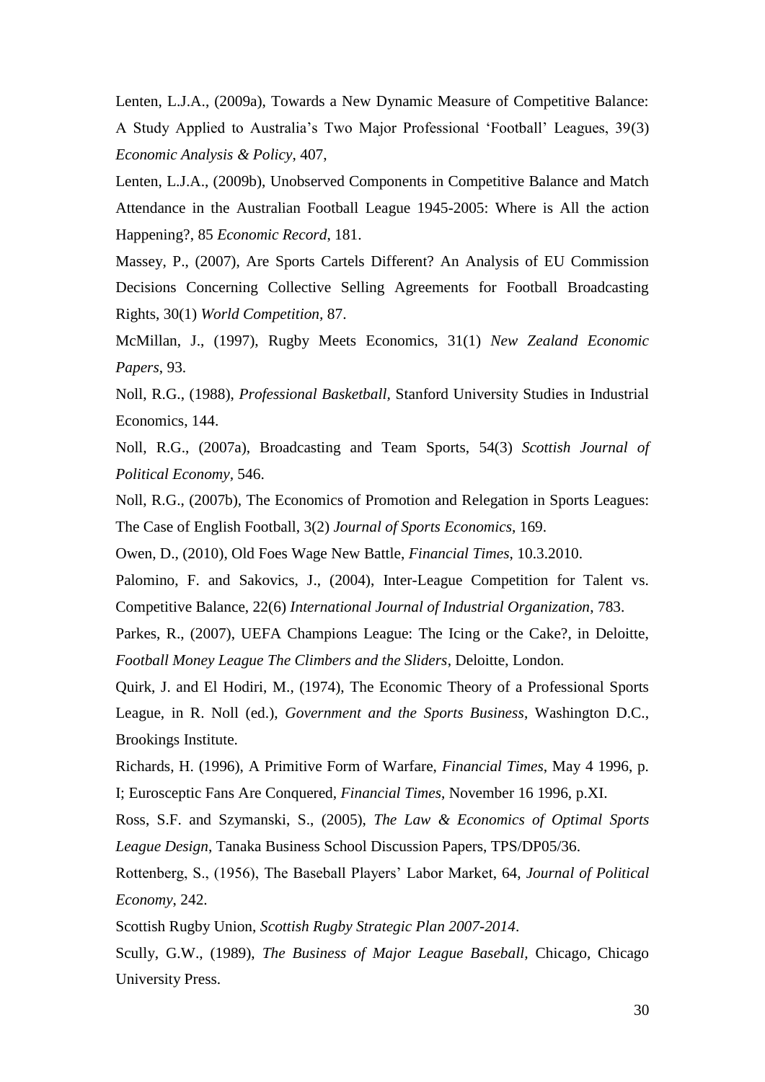Lenten, L.J.A., (2009a), Towards a New Dynamic Measure of Competitive Balance: A Study Applied to Australia"s Two Major Professional "Football" Leagues, 39(3) *Economic Analysis & Policy*, 407,

Lenten, L.J.A., (2009b), Unobserved Components in Competitive Balance and Match Attendance in the Australian Football League 1945-2005: Where is All the action Happening?, 85 *Economic Record*, 181.

Massey, P., (2007), Are Sports Cartels Different? An Analysis of EU Commission Decisions Concerning Collective Selling Agreements for Football Broadcasting Rights, 30(1) *World Competition,* 87.

McMillan, J., (1997), Rugby Meets Economics, 31(1) *New Zealand Economic Papers*, 93.

Noll, R.G., (1988), *Professional Basketball,* Stanford University Studies in Industrial Economics, 144.

Noll, R.G., (2007a), Broadcasting and Team Sports, 54(3) *Scottish Journal of Political Economy,* 546.

Noll, R.G., (2007b), The Economics of Promotion and Relegation in Sports Leagues: The Case of English Football, 3(2) *Journal of Sports Economics*, 169.

Owen, D., (2010), Old Foes Wage New Battle, *Financial Times*, 10.3.2010.

Palomino, F. and Sakovics, J., (2004), Inter-League Competition for Talent vs. Competitive Balance, 22(6) *International Journal of Industrial Organization*, 783.

Parkes, R., (2007), UEFA Champions League: The Icing or the Cake?, in Deloitte, *Football Money League The Climbers and the Sliders*, Deloitte, London.

Quirk, J. and El Hodiri, M., (1974), The Economic Theory of a Professional Sports League, in R. Noll (ed.), *Government and the Sports Business*, Washington D.C., Brookings Institute.

Richards, H. (1996), A Primitive Form of Warfare, *Financial Times*, May 4 1996, p. I; Eurosceptic Fans Are Conquered, *Financial Times*, November 16 1996, p.XI.

Ross, S.F. and Szymanski, S., (2005), *The Law & Economics of Optimal Sports League Design*, Tanaka Business School Discussion Papers, TPS/DP05/36.

Rottenberg, S., (1956), The Baseball Players" Labor Market, 64, *Journal of Political Economy*, 242.

Scottish Rugby Union, *Scottish Rugby Strategic Plan 2007-2014*. Scully, G.W., (1989), *The Business of Major League Baseball,* Chicago, Chicago University Press.